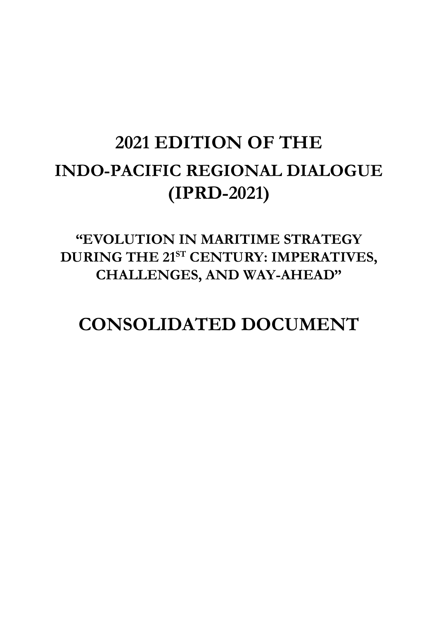## **2021 EDITION OF THE INDO-PACIFIC REGIONAL DIALOGUE (IPRD-2021)**

### **"EVOLUTION IN MARITIME STRATEGY DURING THE 21ST CENTURY: IMPERATIVES, CHALLENGES, AND WAY-AHEAD"**

## **CONSOLIDATED DOCUMENT**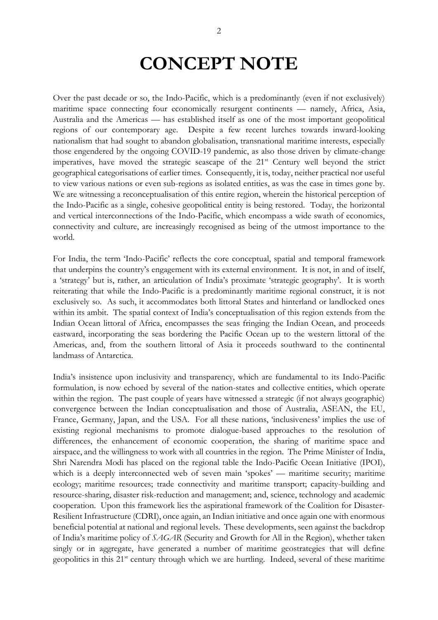## **CONCEPT NOTE**

Over the past decade or so, the Indo-Pacific, which is a predominantly (even if not exclusively) maritime space connecting four economically resurgent continents — namely, Africa, Asia, Australia and the Americas — has established itself as one of the most important geopolitical regions of our contemporary age. Despite a few recent lurches towards inward-looking nationalism that had sought to abandon globalisation, transnational maritime interests, especially those engendered by the ongoing COVID-19 pandemic, as also those driven by climate-change imperatives, have moved the strategic seascape of the  $21<sup>st</sup>$  Century well beyond the strict geographical categorisations of earlier times. Consequently, it is, today, neither practical nor useful to view various nations or even sub-regions as isolated entities, as was the case in times gone by. We are witnessing a reconceptualisation of this entire region, wherein the historical perception of the Indo-Pacific as a single, cohesive geopolitical entity is being restored. Today, the horizontal and vertical interconnections of the Indo-Pacific, which encompass a wide swath of economics, connectivity and culture, are increasingly recognised as being of the utmost importance to the world.

For India, the term 'Indo-Pacific' reflects the core conceptual, spatial and temporal framework that underpins the country's engagement with its external environment. It is not, in and of itself, a 'strategy' but is, rather, an articulation of India's proximate 'strategic geography'. It is worth reiterating that while the Indo-Pacific is a predominantly maritime regional construct, it is not exclusively so. As such, it accommodates both littoral States and hinterland or landlocked ones within its ambit. The spatial context of India's conceptualisation of this region extends from the Indian Ocean littoral of Africa, encompasses the seas fringing the Indian Ocean, and proceeds eastward, incorporating the seas bordering the Pacific Ocean up to the western littoral of the Americas, and, from the southern littoral of Asia it proceeds southward to the continental landmass of Antarctica.

India's insistence upon inclusivity and transparency, which are fundamental to its Indo-Pacific formulation, is now echoed by several of the nation-states and collective entities, which operate within the region. The past couple of years have witnessed a strategic (if not always geographic) convergence between the Indian conceptualisation and those of Australia, ASEAN, the EU, France, Germany, Japan, and the USA. For all these nations, 'inclusiveness' implies the use of existing regional mechanisms to promote dialogue-based approaches to the resolution of differences, the enhancement of economic cooperation, the sharing of maritime space and airspace, and the willingness to work with all countries in the region. The Prime Minister of India, Shri Narendra Modi has placed on the regional table the Indo-Pacific Ocean Initiative (IPOI), which is a deeply interconnected web of seven main 'spokes' — maritime security; maritime ecology; maritime resources; trade connectivity and maritime transport; capacity-building and resource-sharing, disaster risk-reduction and management; and, science, technology and academic cooperation. Upon this framework lies the aspirational framework of the Coalition for Disaster-Resilient Infrastructure (CDRI), once again, an Indian initiative and once again one with enormous beneficial potential at national and regional levels. These developments, seen against the backdrop of India's maritime policy of *SAGAR* (Security and Growth for All in the Region), whether taken singly or in aggregate, have generated a number of maritime geostrategies that will define geopolitics in this 21<sup>st</sup> century through which we are hurtling. Indeed, several of these maritime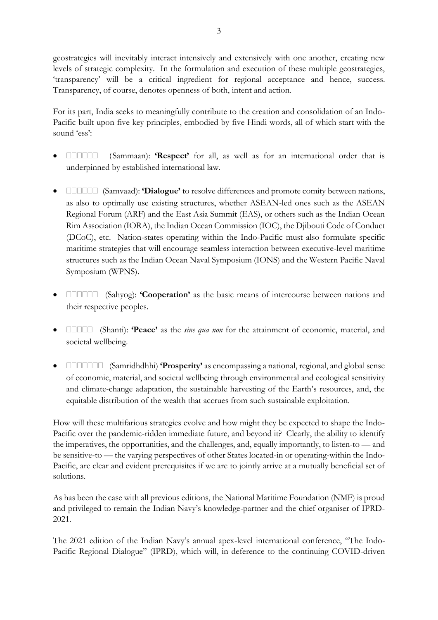geostrategies will inevitably interact intensively and extensively with one another, creating new levels of strategic complexity. In the formulation and execution of these multiple geostrategies, 'transparency' will be a critical ingredient for regional acceptance and hence, success. Transparency, of course, denotes openness of both, intent and action.

For its part, India seeks to meaningfully contribute to the creation and consolidation of an Indo-Pacific built upon five key principles, embodied by five Hindi words, all of which start with the sound 'ess':

- **EXAMMADER (Sammaan): 'Respect'** for all, as well as for an international order that is underpinned by established international law.
- **EXAMPEDE** (Samvaad): **'Dialogue'** to resolve differences and promote comity between nations, as also to optimally use existing structures, whether ASEAN-led ones such as the ASEAN Regional Forum (ARF) and the East Asia Summit (EAS), or others such as the Indian Ocean Rim Association (IORA), the Indian Ocean Commission (IOC), the Djibouti Code of Conduct (DCoC), etc. Nation-states operating within the Indo-Pacific must also formulate specific maritime strategies that will encourage seamless interaction between executive-level maritime structures such as the Indian Ocean Naval Symposium (IONS) and the Western Pacific Naval Symposium (WPNS).
- **ELERGEREY: 'Cooperation'** as the basic means of intercourse between nations and their respective peoples.
- **•**  $\square$  $\square$  $\square$  (Shanti): **'Peace'** as the *sine qua non* for the attainment of economic, material, and societal wellbeing.
- **•**  $\square$  $\square$  $\square$  $\square$  $\square$  $\square$  $\square$  (Samridhdhhi) **'Prosperity'** as encompassing a national, regional, and global sense of economic, material, and societal wellbeing through environmental and ecological sensitivity and climate-change adaptation, the sustainable harvesting of the Earth's resources, and, the equitable distribution of the wealth that accrues from such sustainable exploitation.

How will these multifarious strategies evolve and how might they be expected to shape the Indo-Pacific over the pandemic-ridden immediate future, and beyond it? Clearly, the ability to identify the imperatives, the opportunities, and the challenges, and, equally importantly, to listen-to — and be sensitive-to — the varying perspectives of other States located-in or operating-within the Indo-Pacific, are clear and evident prerequisites if we are to jointly arrive at a mutually beneficial set of solutions.

As has been the case with all previous editions, the National Maritime Foundation (NMF) is proud and privileged to remain the Indian Navy's knowledge-partner and the chief organiser of IPRD-2021.

The 2021 edition of the Indian Navy's annual apex-level international conference, "The Indo-Pacific Regional Dialogue" (IPRD), which will, in deference to the continuing COVID-driven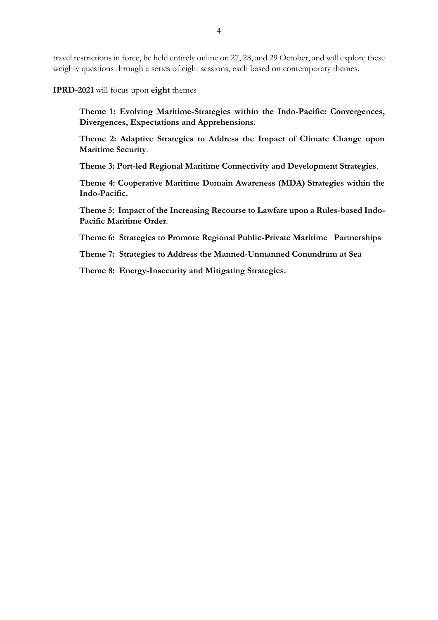travel restrictions in force, be held entirely online on 27, 28, and 29 October, and will explore these weighty questions through a series of eight sessions, each based on contemporary themes.

**IPRD-2021** will focus upon **eight** themes

**Theme 1: Evolving Maritime-Strategies within the Indo-Pacific: Convergences, Divergences, Expectations and Apprehensions**.

**Theme 2: Adaptive Strategies to Address the Impact of Climate Change upon Maritime Security**.

**Theme 3: Port-led Regional Maritime Connectivity and Development Strategies**.

**Theme 4: Cooperative Maritime Domain Awareness (MDA) Strategies within the Indo-Pacific.**

**Theme 5: Impact of the Increasing Recourse to Lawfare upon a Rules-based Indo-Pacific Maritime Order**.

**Theme 6: Strategies to Promote Regional Public-Private Maritime Partnerships**

**Theme 7: Strategies to Address the Manned-Unmanned Conundrum at Sea**

**Theme 8: Energy-Insecurity and Mitigating Strategies.**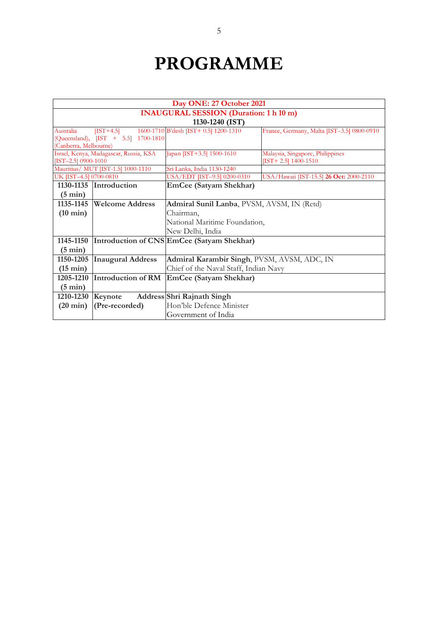## **PROGRAMME**

|                        | Day ONE: 27 October 2021                      |                                             |                                            |  |  |  |
|------------------------|-----------------------------------------------|---------------------------------------------|--------------------------------------------|--|--|--|
|                        | <b>INAUGURAL SESSION (Duration: 1 h 10 m)</b> |                                             |                                            |  |  |  |
|                        | 1130-1240 (IST)                               |                                             |                                            |  |  |  |
| Australia              | $[IST+4.5]$                                   | 1600-1710 B'desh [IST+ 0.5] 1200-1310       | France, Germany, Malta [IST-3.5] 0800-0910 |  |  |  |
|                        | (Queensland), [IST + 5.5] 1700-1810           |                                             |                                            |  |  |  |
| (Canberra, Melbourne)  |                                               |                                             |                                            |  |  |  |
|                        | Israel, Kenya, Madagascar, Russia, KSA        | Japan [IST+3.5] 1500-1610                   | Malaysia, Singapore, Philippines           |  |  |  |
| [IST-2.5] 0900-1010    |                                               |                                             | $[IST+2.5]$ 1400-1510                      |  |  |  |
|                        | Mauritius/ MUT [IST-1.5] 1000-1110            | Sri Lanka, India 1130-1240                  |                                            |  |  |  |
| UK [IST-4.5] 0700-0810 |                                               | USA/EDT [IST-9.5] 0200-0310                 | USA/Hawaii [IST-15.5] 26 Oct: 2000-2110    |  |  |  |
| 1130-1135              | Introduction                                  | <b>EmCee (Satyam Shekhar)</b>               |                                            |  |  |  |
| $(5 \text{ min})$      |                                               |                                             |                                            |  |  |  |
| 1135-1145              | <b>Welcome Address</b>                        | Admiral Sunil Lanba, PVSM, AVSM, IN (Retd)  |                                            |  |  |  |
| $(10 \text{ min})$     |                                               | Chairman,                                   |                                            |  |  |  |
|                        |                                               | National Maritime Foundation,               |                                            |  |  |  |
|                        |                                               | New Delhi, India                            |                                            |  |  |  |
| 1145-1150              |                                               | Introduction of CNS EmCee (Satyam Shekhar)  |                                            |  |  |  |
| $(5 \text{ min})$      |                                               |                                             |                                            |  |  |  |
| 1150-1205              | <b>Inaugural Address</b>                      | Admiral Karambir Singh, PVSM, AVSM, ADC, IN |                                            |  |  |  |
| $(15 \text{ min})$     |                                               | Chief of the Naval Staff, Indian Navy       |                                            |  |  |  |
| 1205-1210              | Introduction of RM                            | EmCee (Satyam Shekhar)                      |                                            |  |  |  |
| $(5 \text{ min})$      |                                               |                                             |                                            |  |  |  |
| 1210-1230              | Keynote                                       | Address Shri Rajnath Singh                  |                                            |  |  |  |
| $(20 \text{ min})$     | (Pre-recorded)                                | Hon'ble Defence Minister                    |                                            |  |  |  |
|                        | Government of India                           |                                             |                                            |  |  |  |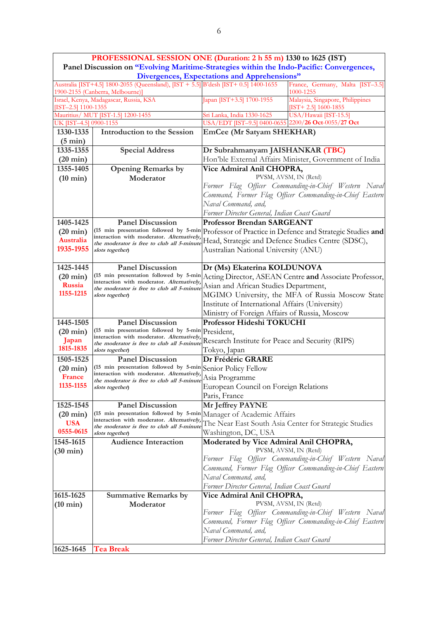|                                    |                                                                                                                                                                                                                                       | PROFESSIONAL SESSION ONE (Duration: 2 h 55 m) 1330 to 1625 (IST)                         |  |  |
|------------------------------------|---------------------------------------------------------------------------------------------------------------------------------------------------------------------------------------------------------------------------------------|------------------------------------------------------------------------------------------|--|--|
|                                    |                                                                                                                                                                                                                                       | Panel Discussion on "Evolving Maritime-Strategies within the Indo-Pacific: Convergences, |  |  |
|                                    |                                                                                                                                                                                                                                       | Divergences, Expectations and Apprehensions"                                             |  |  |
|                                    | Australia [IST+4.5] 1800-2055 (Queensland), [IST + 5.5] B'desh [IST+ 0.5] 1400-1655<br>1900-2155 (Canberra, Melbourne)]                                                                                                               | France, Germany, Malta [IST-3.5]<br>1000-1255                                            |  |  |
| $[TST-2.5]$ 1100-1355              | Israel, Kenya, Madagascar, Russia, KSA                                                                                                                                                                                                | Japan [IST+3.5] 1700-1955<br>Malaysia, Singapore, Philippines<br>$[TST+ 2.5]$ 1600-1855  |  |  |
| Mauritius/ MUT [IST-1.5] 1200-1455 |                                                                                                                                                                                                                                       | USA/Hawaii [IST-15.5]<br>Sri Lanka, India 1330-1625                                      |  |  |
| UK [IST-4.5] 0900-1155             |                                                                                                                                                                                                                                       | USA/EDT [IST-9.5] 0400-0655 2200/26 Oct-0055/27 Oct                                      |  |  |
| 1330-1335<br>$(5 \text{ min})$     | <b>Introduction to the Session</b>                                                                                                                                                                                                    | <b>EmCee (Mr Satyam SHEKHAR)</b>                                                         |  |  |
| 1335-1355                          | <b>Special Address</b>                                                                                                                                                                                                                | Dr Subrahmanyam JAISHANKAR (TBC)                                                         |  |  |
| $(20 \text{ min})$                 |                                                                                                                                                                                                                                       | Hon'ble External Affairs Minister, Government of India                                   |  |  |
| 1355-1405                          | <b>Opening Remarks by</b>                                                                                                                                                                                                             | Vice Admiral Anil CHOPRA,                                                                |  |  |
| $(10 \text{ min})$                 | Moderator                                                                                                                                                                                                                             | PVSM, AVSM, IN (Retd)                                                                    |  |  |
|                                    |                                                                                                                                                                                                                                       | Former Flag Officer Commanding-in-Chief Western Naval                                    |  |  |
|                                    |                                                                                                                                                                                                                                       | Command, Former Flag Officer Commanding-in-Chief Eastern                                 |  |  |
|                                    |                                                                                                                                                                                                                                       | Naval Command, and,                                                                      |  |  |
|                                    |                                                                                                                                                                                                                                       | Former Director General, Indian Coast Guard                                              |  |  |
| 1405-1425                          | <b>Panel Discussion</b>                                                                                                                                                                                                               | <b>Professor Brendan SARGEANT</b>                                                        |  |  |
| $(20 \text{ min})$                 | (15 min presentation followed by 5-min                                                                                                                                                                                                | Professor of Practice in Defence and Strategic Studies and                               |  |  |
| Australia                          | interaction with moderator. Alternatively,                                                                                                                                                                                            | Head, Strategic and Defence Studies Centre (SDSC),                                       |  |  |
| 1935-1955                          | the moderator is free to club all 5-minute<br>slots together)                                                                                                                                                                         | Australian National University (ANU)                                                     |  |  |
|                                    |                                                                                                                                                                                                                                       |                                                                                          |  |  |
| 1425-1445                          | <b>Panel Discussion</b>                                                                                                                                                                                                               | Dr (Ms) Ekaterina KOLDUNOVA                                                              |  |  |
| $(20 \text{ min})$                 | (15 min presentation followed by 5-min<br>Acting Director, ASEAN Centre and Associate Professor,<br>interaction with moderator. Alternatively,<br>Asian and African Studies Department,<br>the moderator is free to club all 5-minute |                                                                                          |  |  |
| Russia                             |                                                                                                                                                                                                                                       |                                                                                          |  |  |
| 1155-1215                          | slots together)                                                                                                                                                                                                                       | MGIMO University, the MFA of Russia Moscow State                                         |  |  |
|                                    |                                                                                                                                                                                                                                       | Institute of International Affairs (University)                                          |  |  |
|                                    |                                                                                                                                                                                                                                       | Ministry of Foreign Affairs of Russia, Moscow                                            |  |  |
| 1445-1505                          | <b>Panel Discussion</b>                                                                                                                                                                                                               | Professor Hideshi TOKUCHI                                                                |  |  |
| $(20 \text{ min})$                 | (15 min presentation followed by 5-min President,                                                                                                                                                                                     |                                                                                          |  |  |
| Japan                              | interaction with moderator. Alternatively,<br>the moderator is free to club all 5-minute                                                                                                                                              | Research Institute for Peace and Security (RIPS)                                         |  |  |
| 1815-1835                          | slots together)                                                                                                                                                                                                                       | Tokyo, Japan                                                                             |  |  |
| 1505-1525                          | <b>Panel Discussion</b>                                                                                                                                                                                                               | Dr Frédéric GRARE                                                                        |  |  |
| $(20 \text{ min})$                 | (15 min presentation followed by 5-min                                                                                                                                                                                                | Senior Policy Fellow                                                                     |  |  |
| France                             | interaction with moderator. Alternatively,                                                                                                                                                                                            |                                                                                          |  |  |
| 1135-1155                          | the moderator is free to club all 5-minute. Asia Programme<br>slots together)                                                                                                                                                         | European Council on Foreign Relations                                                    |  |  |
|                                    |                                                                                                                                                                                                                                       | Paris, France                                                                            |  |  |
| 1525-1545                          | <b>Panel Discussion</b>                                                                                                                                                                                                               | Mr Jeffrey PAYNE                                                                         |  |  |
| $(20 \text{ min})$                 | (15 min presentation followed by 5-min Manager of Academic Affairs                                                                                                                                                                    |                                                                                          |  |  |
| <b>USA</b>                         | interaction with moderator. Alternatively,                                                                                                                                                                                            | The Near East South Asia Center for Strategic Studies                                    |  |  |
| 0555-0615                          | the moderator is free to club all 5-minute<br>slots together)                                                                                                                                                                         | Washington, DC, USA                                                                      |  |  |
| 1545-1615                          | <b>Audience Interaction</b>                                                                                                                                                                                                           | Moderated by Vice Admiral Anil CHOPRA,                                                   |  |  |
| $(30 \text{ min})$                 |                                                                                                                                                                                                                                       | PVSM, AVSM, IN (Retd)                                                                    |  |  |
|                                    |                                                                                                                                                                                                                                       | Former Flag Officer Commanding-in-Chief Western Naval                                    |  |  |
|                                    |                                                                                                                                                                                                                                       | Command, Former Flag Officer Commanding-in-Chief Eastern                                 |  |  |
|                                    |                                                                                                                                                                                                                                       | Naval Command, and,                                                                      |  |  |
|                                    |                                                                                                                                                                                                                                       | Former Director General, Indian Coast Guard                                              |  |  |
| 1615-1625                          | <b>Summative Remarks by</b>                                                                                                                                                                                                           | Vice Admiral Anil CHOPRA,                                                                |  |  |
| $(10 \text{ min})$                 | Moderator                                                                                                                                                                                                                             | PVSM, AVSM, IN (Retd)                                                                    |  |  |
|                                    |                                                                                                                                                                                                                                       | Former Flag Officer Commanding-in-Chief Western Naval                                    |  |  |
|                                    |                                                                                                                                                                                                                                       | Command, Former Flag Officer Commanding-in-Chief Eastern                                 |  |  |
|                                    |                                                                                                                                                                                                                                       | Naval Command, and,                                                                      |  |  |
|                                    |                                                                                                                                                                                                                                       | Former Director General, Indian Coast Guard                                              |  |  |
| 1625-1645                          | <b>Tea Break</b>                                                                                                                                                                                                                      |                                                                                          |  |  |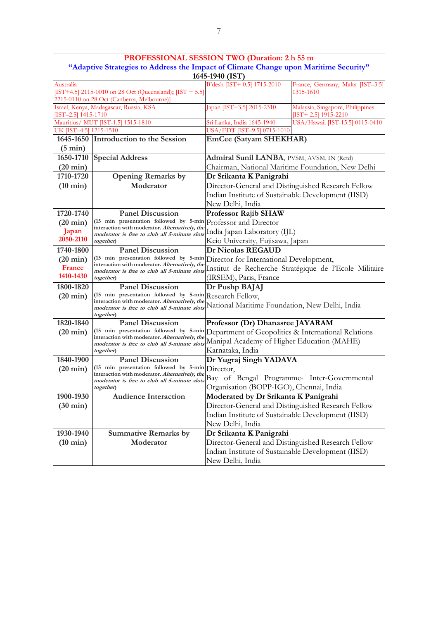|                        |                                                                                                                    | PROFESSIONAL SESSION TWO (Duration: 2 h 55 m           |                                                            |  |  |
|------------------------|--------------------------------------------------------------------------------------------------------------------|--------------------------------------------------------|------------------------------------------------------------|--|--|
|                        | "Adaptive Strategies to Address the Impact of Climate Change upon Maritime Security"                               |                                                        |                                                            |  |  |
|                        |                                                                                                                    | 1645-1940 (IST)                                        |                                                            |  |  |
| Australia              |                                                                                                                    | B'desh [IST+ 0.5] 1715-2010                            | France, Germany, Malta [IST-3.5]                           |  |  |
|                        | [IST+4.5] 2115-0010 on 28 Oct (Queensland); [IST + 5.5]<br>1315-1610<br>2215-0110 on 28 Oct (Canberra, Melbourne)] |                                                        |                                                            |  |  |
| $[IST-2.5]$ 1415-1710  | Israel, Kenya, Madagascar, Russia, KSA                                                                             | Japan [IST+3.5] 2015-2310                              | Malaysia, Singapore, Philippines<br>$[IST+ 2.5]$ 1915-2210 |  |  |
|                        | Mauritius/ MUT [IST-1.5] 1515-1810                                                                                 | Sri Lanka, India 1645-1940                             | USA/Hawaii [IST-15.5] 0115-0410                            |  |  |
| UK [IST-4.5] 1215-1510 |                                                                                                                    | USA/EDT [IST-9.5] 0715-1010                            |                                                            |  |  |
|                        | 1645-1650 Introduction to the Session                                                                              | <b>EmCee (Satyam SHEKHAR)</b>                          |                                                            |  |  |
| $(5 \text{ min})$      |                                                                                                                    |                                                        |                                                            |  |  |
| 1650-1710              | <b>Special Address</b>                                                                                             | Admiral Sunil LANBA, PVSM, AVSM, IN (Retd)             |                                                            |  |  |
| $(20 \text{ min})$     |                                                                                                                    |                                                        | Chairman, National Maritime Foundation, New Delhi          |  |  |
| 1710-1720              | <b>Opening Remarks by</b>                                                                                          | Dr Srikanta K Panigrahi                                |                                                            |  |  |
| $(10 \text{ min})$     | Moderator                                                                                                          | Director-General and Distinguished Research Fellow     |                                                            |  |  |
|                        |                                                                                                                    | Indian Institute of Sustainable Development (IISD)     |                                                            |  |  |
|                        |                                                                                                                    | New Delhi, India                                       |                                                            |  |  |
| 1720-1740              | <b>Panel Discussion</b><br>(15 min presentation followed by 5-min                                                  | <b>Professor Rajib SHAW</b>                            |                                                            |  |  |
| $(20 \text{ min})$     | interaction with moderator. Alternatively, the                                                                     | Professor and Director                                 |                                                            |  |  |
| Japan<br>2050-2110     | moderator is free to club all 5-minute slots                                                                       | India Japan Laboratory (IJL)                           |                                                            |  |  |
|                        | together)                                                                                                          | Keio University, Fujisawa, Japan                       |                                                            |  |  |
| 1740-1800              | <b>Panel Discussion</b>                                                                                            | Dr Nicolas REGAUD                                      |                                                            |  |  |
| $(20 \text{ min})$     | (15 min presentation followed by 5-min<br>interaction with moderator. Alternatively, the                           | Director for International Development,                |                                                            |  |  |
| France                 | moderator is free to club all 5-minute slots                                                                       | Institut de Recherche Stratégique de l'Ecole Militaire |                                                            |  |  |
| 1410-1430              | together)                                                                                                          | (IRSEM), Paris, France                                 |                                                            |  |  |
| 1800-1820              | <b>Panel Discussion</b>                                                                                            | Dr Pushp BAJAJ                                         |                                                            |  |  |
| $(20 \text{ min})$     | (15 min presentation followed by 5-min Research Fellow,<br>interaction with moderator. Alternatively, the          |                                                        |                                                            |  |  |
|                        | moderator is free to club all 5-minute slots<br>together)                                                          | National Maritime Foundation, New Delhi, India         |                                                            |  |  |
| 1820-1840              | <b>Panel Discussion</b>                                                                                            | Professor (Dr) Dhanasree JAYARAM                       |                                                            |  |  |
| $(20 \text{ min})$     | (15 min presentation followed by 5-min                                                                             | Department of Geopolitics & International Relations    |                                                            |  |  |
|                        | interaction with moderator. Alternatively, the                                                                     | Manipal Academy of Higher Education (MAHE)             |                                                            |  |  |
|                        | moderator is free to club all 5-minute slots<br>together)                                                          | Karnataka, India                                       |                                                            |  |  |
| 1840-1900              | <b>Panel Discussion</b>                                                                                            | Dr Yugraj Singh YADAVA                                 |                                                            |  |  |
| $(20 \text{ min})$     | (15 min presentation followed by 5-min Director,                                                                   |                                                        |                                                            |  |  |
|                        | interaction with moderator. Alternatively, the                                                                     | Bay of Bengal Programme- Inter-Governmental            |                                                            |  |  |
|                        | moderator is free to club all 5-minute slots<br>together)                                                          | Organisation (BOPP-IGO), Chennai, India                |                                                            |  |  |
| 1900-1930              | <b>Audience Interaction</b>                                                                                        | Moderated by Dr Srikanta K Panigrahi                   |                                                            |  |  |
| $(30 \text{ min})$     |                                                                                                                    | Director-General and Distinguished Research Fellow     |                                                            |  |  |
|                        |                                                                                                                    | Indian Institute of Sustainable Development (IISD)     |                                                            |  |  |
|                        |                                                                                                                    | New Delhi, India                                       |                                                            |  |  |
| 1930-1940              | <b>Summative Remarks by</b>                                                                                        | Dr Srikanta K Panigrahi                                |                                                            |  |  |
| $(10 \text{ min})$     | Moderator                                                                                                          | Director-General and Distinguished Research Fellow     |                                                            |  |  |
|                        |                                                                                                                    | Indian Institute of Sustainable Development (IISD)     |                                                            |  |  |
|                        |                                                                                                                    | New Delhi, India                                       |                                                            |  |  |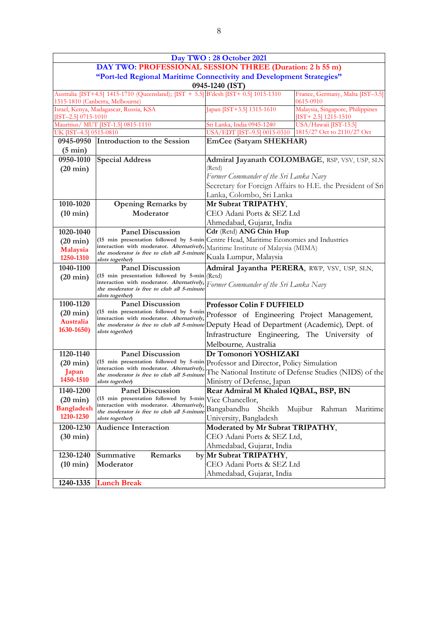|                                                                | Day TWO: 28 October 2021                                                                                                                                     |                                                                                           |                                                            |  |
|----------------------------------------------------------------|--------------------------------------------------------------------------------------------------------------------------------------------------------------|-------------------------------------------------------------------------------------------|------------------------------------------------------------|--|
|                                                                | DAY TWO: PROFESSIONAL SESSION THREE (Duration: 2 h 55 m)                                                                                                     |                                                                                           |                                                            |  |
|                                                                | "Port-led Regional Maritime Connectivity and Development Strategies"<br>0945-1240 (IST)                                                                      |                                                                                           |                                                            |  |
|                                                                | Australia [IST+4.5] 1415-1710 (Queensland); [IST + 5.5] B'desh [IST+ 0.5] 1015-1310                                                                          |                                                                                           | France, Germany, Malta [IST-3.5]                           |  |
|                                                                | 1515-1810 (Canberra, Melbourne)                                                                                                                              |                                                                                           | 0615-0910                                                  |  |
| $[IST-2.5] 0715-1010$                                          | Israel, Kenya, Madagascar, Russia, KSA                                                                                                                       | Japan [IST+3.5] 1315-1610                                                                 | Malaysia, Singapore, Philippines<br>$[TST+ 2.5]$ 1215-1510 |  |
|                                                                | Mauritius/ MUT [IST-1.5] 0815-1110                                                                                                                           | Sri Lanka, India 0945-1240                                                                | USA/Hawaii [IST-15.5]                                      |  |
| UK [IST-4.5] 0515-0810                                         |                                                                                                                                                              | USA/EDT [IST-9.5] 0015-0310                                                               | 1815/27 Oct to 2110/27 Oct                                 |  |
| 0945-0950                                                      | Introduction to the Session                                                                                                                                  | <b>EmCee (Satyam SHEKHAR)</b>                                                             |                                                            |  |
| $(5 \text{ min})$                                              |                                                                                                                                                              |                                                                                           |                                                            |  |
| 0950-1010                                                      | <b>Special Address</b>                                                                                                                                       |                                                                                           | Admiral Jayanath COLOMBAGE, RSP, VSV, USP, SLN             |  |
| $(20 \text{ min})$                                             |                                                                                                                                                              | (Retd)                                                                                    |                                                            |  |
|                                                                |                                                                                                                                                              | Former Commander of the Sri Lanka Navy                                                    |                                                            |  |
|                                                                |                                                                                                                                                              |                                                                                           | Secretary for Foreign Affairs to H.E. the President of Sri |  |
|                                                                |                                                                                                                                                              | Lanka, Colombo, Sri Lanka                                                                 |                                                            |  |
| 1010-1020                                                      | <b>Opening Remarks by</b>                                                                                                                                    | Mr Subrat TRIPATHY,                                                                       |                                                            |  |
| $(10 \text{ min})$                                             | Moderator                                                                                                                                                    | CEO Adani Ports & SEZ Ltd                                                                 |                                                            |  |
|                                                                |                                                                                                                                                              | Ahmedabad, Gujarat, India                                                                 |                                                            |  |
| 1020-1040                                                      | <b>Panel Discussion</b>                                                                                                                                      | Cdr (Retd) ANG Chin Hup                                                                   |                                                            |  |
| $(20 \text{ min})$                                             | (15 min presentation followed by 5-min<br>interaction with moderator. Alternatively,                                                                         | Centre Head, Maritime Economics and Industries                                            |                                                            |  |
| Malaysia                                                       | the moderator is free to club all 5-minute                                                                                                                   | Maritime Institute of Malaysia (MIMA)                                                     |                                                            |  |
| 1250-1310                                                      | slots together)                                                                                                                                              | Kuala Lumpur, Malaysia                                                                    |                                                            |  |
| 1040-1100                                                      | <b>Panel Discussion</b>                                                                                                                                      | Admiral Jayantha PERERA, RWP, VSV, USP, SLN,                                              |                                                            |  |
| $(20 \text{ min})$                                             | (15 min presentation followed by 5-min (Retd)<br>interaction with moderator. Alternatively,<br>the moderator is free to club all 5-minute<br>slots together) | Former Commander of the Sri Lanka Navy                                                    |                                                            |  |
| 1100-1120                                                      | <b>Panel Discussion</b>                                                                                                                                      | <b>Professor Colin F DUFFIELD</b>                                                         |                                                            |  |
| $(20 \text{ min})$                                             | (15 min presentation followed by 5-min                                                                                                                       | Professor of Engineering Project Management,                                              |                                                            |  |
| interaction with moderator. Alternatively,<br><b>Australia</b> |                                                                                                                                                              | the moderator is free to club all 5-minute Deputy Head of Department (Academic), Dept. of |                                                            |  |
| 1630-1650)                                                     | slots together)                                                                                                                                              | Infrastructure Engineering, The University of                                             |                                                            |  |
|                                                                |                                                                                                                                                              |                                                                                           |                                                            |  |
|                                                                |                                                                                                                                                              | Melbourne, Australia<br>Dr Tomonori YOSHIZAKI                                             |                                                            |  |
| 1120-1140                                                      | <b>Panel Discussion</b><br>(15 min presentation followed by 5-min                                                                                            |                                                                                           |                                                            |  |
| $(20 \text{ min})$                                             | interaction with moderator. Alternatively,                                                                                                                   | Professor and Director, Policy Simulation                                                 |                                                            |  |
| Japan<br>1450-1510                                             | the moderator is free to club all 5-minute                                                                                                                   |                                                                                           | The National Institute of Defense Studies (NIDS) of the    |  |
|                                                                | slots together)                                                                                                                                              | Ministry of Defense, Japan                                                                |                                                            |  |
| 1140-1200                                                      | <b>Panel Discussion</b><br>(15 min presentation followed by 5-min Vice Chancellor,                                                                           | Rear Admiral M Khaled IQBAL, BSP, BN                                                      |                                                            |  |
| $(20 \text{ min})$                                             | interaction with moderator. Alternatively,                                                                                                                   |                                                                                           |                                                            |  |
| <b>Bangladesh</b><br>1210-1230                                 | the moderator is free to club all 5-minute                                                                                                                   | Bangabandhu<br>Sheikh                                                                     | Mujibur<br>Rahman<br>Maritime                              |  |
|                                                                | slots together)                                                                                                                                              | University, Bangladesh                                                                    |                                                            |  |
| 1200-1230                                                      | <b>Audience Interaction</b>                                                                                                                                  | Moderated by Mr Subrat TRIPATHY,                                                          |                                                            |  |
| $(30 \text{ min})$                                             |                                                                                                                                                              | CEO Adani Ports & SEZ Ltd,                                                                |                                                            |  |
|                                                                |                                                                                                                                                              | Ahmedabad, Gujarat, India                                                                 |                                                            |  |
| 1230-1240                                                      | Summative<br>Remarks                                                                                                                                         | by Mr Subrat TRIPATHY,                                                                    |                                                            |  |
| $(10 \text{ min})$                                             | Moderator                                                                                                                                                    | CEO Adani Ports & SEZ Ltd                                                                 |                                                            |  |
|                                                                |                                                                                                                                                              | Ahmedabad, Gujarat, India                                                                 |                                                            |  |
| 1240-1335                                                      | <b>Lunch Break</b>                                                                                                                                           |                                                                                           |                                                            |  |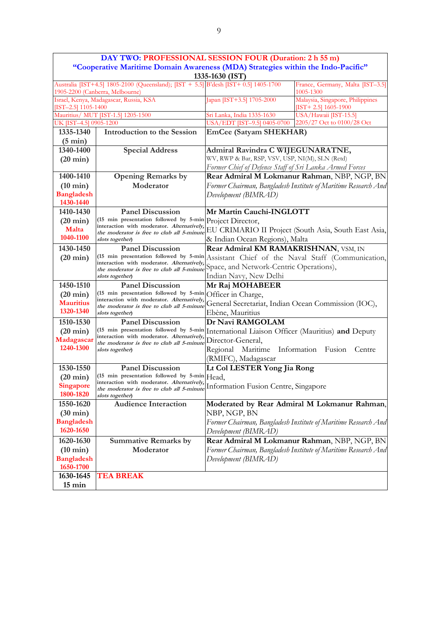|                                                                                                                        | DAY TWO: PROFESSIONAL SESSION FOUR (Duration: 2 h 55 m)                                     |                                                           |                                                                |  |  |
|------------------------------------------------------------------------------------------------------------------------|---------------------------------------------------------------------------------------------|-----------------------------------------------------------|----------------------------------------------------------------|--|--|
|                                                                                                                        | "Cooperative Maritime Domain Awareness (MDA) Strategies within the Indo-Pacific"            |                                                           |                                                                |  |  |
|                                                                                                                        |                                                                                             | 1335-1630 (IST)                                           |                                                                |  |  |
| Australia [IST+4.5] 1805-2100 (Queensland); [IST + 5.5] B'desh [IST+ 0.5] 1405-1700<br>1905-2200 (Canberra, Melbourne) |                                                                                             |                                                           | France, Germany, Malta [IST-3.5]<br>1005-1300                  |  |  |
| Israel, Kenya, Madagascar, Russia, KSA<br>$[IST-2.5]$ 1105-1400                                                        |                                                                                             | Japan [IST+3.5] 1705-2000                                 | Malaysia, Singapore, Philippines<br>[IST+2.5] $1605-1900$      |  |  |
|                                                                                                                        | Mauritius/ MUT [IST-1.5] 1205-1500                                                          | Sri Lanka, India 1335-1630                                | USA/Hawaii [IST-15.5]                                          |  |  |
| UK [IST-4.5] 0905-1200                                                                                                 |                                                                                             | USA/EDT [IST-9.5] 0405-0700<br>2205/27 Oct to 0100/28 Oct |                                                                |  |  |
| 1335-1340                                                                                                              | <b>Introduction to the Session</b>                                                          | EmCee (Satyam SHEKHAR)                                    |                                                                |  |  |
| $(5 \text{ min})$                                                                                                      |                                                                                             |                                                           |                                                                |  |  |
| 1340-1400                                                                                                              | <b>Special Address</b>                                                                      | Admiral Ravindra C WIJEGUNARATNE,                         |                                                                |  |  |
| $(20 \text{ min})$                                                                                                     |                                                                                             | WV, RWP & Bar, RSP, VSV, USP, NI(M), SLN (Retd)           |                                                                |  |  |
|                                                                                                                        |                                                                                             | Former Chief of Defence Staff of Sri Lanka Armed Forces   |                                                                |  |  |
| 1400-1410                                                                                                              | <b>Opening Remarks by</b>                                                                   |                                                           | Rear Admiral M Lokmanur Rahman, NBP, NGP, BN                   |  |  |
| $(10 \text{ min})$                                                                                                     | Moderator                                                                                   |                                                           | Former Chairman, Bangladesh Institute of Maritime Research And |  |  |
| <b>Bangladesh</b><br>1430-1440                                                                                         |                                                                                             | Development (BIMRAD)                                      |                                                                |  |  |
| 1410-1430                                                                                                              | <b>Panel Discussion</b>                                                                     | Mr Martin Cauchi-INGLOTT                                  |                                                                |  |  |
| $(20 \text{ min})$                                                                                                     | (15 min presentation followed by 5-min Project Director,                                    |                                                           |                                                                |  |  |
| Malta                                                                                                                  | interaction with moderator. Alternatively,<br>the moderator is free to club all 5-minute    |                                                           | EU CRIMARIO II Project (South Asia, South East Asia,           |  |  |
| 1040-1100                                                                                                              | slots together)                                                                             | & Indian Ocean Regions), Malta                            |                                                                |  |  |
| 1430-1450                                                                                                              | <b>Panel Discussion</b>                                                                     | Rear Admiral KM RAMAKRISHNAN, VSM, IN                     |                                                                |  |  |
| $(20 \text{ min})$                                                                                                     | (15 min presentation followed by 5-min                                                      | Assistant Chief of the Naval Staff (Communication,        |                                                                |  |  |
|                                                                                                                        | interaction with moderator. Alternatively,                                                  | Space, and Network-Centric Operations),                   |                                                                |  |  |
|                                                                                                                        | the moderator is free to club all 5-minute<br>slots together)                               | Indian Navy, New Delhi                                    |                                                                |  |  |
| 1450-1510                                                                                                              | <b>Panel Discussion</b>                                                                     | Mr Raj MOHABEER                                           |                                                                |  |  |
| $(20 \text{ min})$                                                                                                     | (15 min presentation followed by 5-min                                                      | Officer in Charge,                                        |                                                                |  |  |
| <b>Mauritius</b>                                                                                                       | interaction with moderator. Alternatively,<br>the moderator is free to club all 5-minute    | General Secretariat, Indian Ocean Commission (IOC),       |                                                                |  |  |
| 1320-1340                                                                                                              | slots together)                                                                             | Ebène, Mauritius                                          |                                                                |  |  |
| 1510-1530                                                                                                              | <b>Panel Discussion</b>                                                                     | Dr Navi RAMGOLAM                                          |                                                                |  |  |
| $(20 \text{ min})$                                                                                                     | (15 min presentation followed by 5-min International Liaison Officer (Mauritius) and Deputy |                                                           |                                                                |  |  |
| Madagascar                                                                                                             | interaction with moderator. Alternatively,                                                  | Director-General,                                         |                                                                |  |  |
| 1240-1300                                                                                                              | the moderator is free to club all 5-minute<br>slots together)                               | Regional Maritime<br>Information Fusion Centre            |                                                                |  |  |
|                                                                                                                        |                                                                                             | (RMIFC), Madagascar                                       |                                                                |  |  |
| 1530-1550                                                                                                              | <b>Panel Discussion</b>                                                                     | Lt Col LESTER Yong Jia Rong                               |                                                                |  |  |
| $(20 \text{ min})$                                                                                                     | (15 min presentation followed by 5-min Head,                                                |                                                           |                                                                |  |  |
| Singapore                                                                                                              | interaction with moderator. Alternatively,                                                  | Information Fusion Centre, Singapore                      |                                                                |  |  |
| 1800-1820                                                                                                              | the moderator is free to club all 5-minute<br>slots together)                               |                                                           |                                                                |  |  |
| 1550-1620                                                                                                              | <b>Audience Interaction</b>                                                                 |                                                           | Moderated by Rear Admiral M Lokmanur Rahman,                   |  |  |
| $(30 \text{ min})$                                                                                                     |                                                                                             | NBP, NGP, BN                                              |                                                                |  |  |
| <b>Bangladesh</b>                                                                                                      |                                                                                             |                                                           | Former Chairman, Bangladesh Institute of Maritime Research And |  |  |
| 1620-1650                                                                                                              |                                                                                             | Development (BIMRAD)                                      |                                                                |  |  |
| 1620-1630                                                                                                              | <b>Summative Remarks by</b>                                                                 |                                                           | Rear Admiral M Lokmanur Rahman, NBP, NGP, BN                   |  |  |
| $(10 \text{ min})$                                                                                                     | Moderator                                                                                   |                                                           | Former Chairman, Bangladesh Institute of Maritime Research And |  |  |
| <b>Bangladesh</b>                                                                                                      |                                                                                             | Development (BIMRAD)                                      |                                                                |  |  |
| 1650-1700                                                                                                              |                                                                                             |                                                           |                                                                |  |  |
| 1630-1645                                                                                                              | <b>TEA BREAK</b>                                                                            |                                                           |                                                                |  |  |
| $15 \text{ min}$                                                                                                       |                                                                                             |                                                           |                                                                |  |  |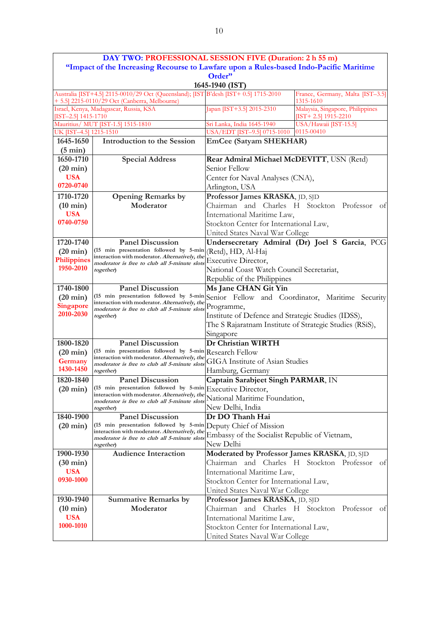|                                | DAY TWO: PROFESSIONAL SESSION FIVE (Duration: 2 h 55 m)                                                                              |                                                         |                                                            |  |
|--------------------------------|--------------------------------------------------------------------------------------------------------------------------------------|---------------------------------------------------------|------------------------------------------------------------|--|
|                                | "Impact of the Increasing Recourse to Lawfare upon a Rules-based Indo-Pacific Maritime                                               |                                                         |                                                            |  |
|                                |                                                                                                                                      | Order"                                                  |                                                            |  |
|                                |                                                                                                                                      | 1645-1940 (IST)                                         |                                                            |  |
|                                | Australia [IST+4.5] 2115-0010/29 Oct (Queensland); [IST B'desh [IST+ 0.5] 1715-2010<br>+ 5.5] 2215-0110/29 Oct (Canberra, Melbourne) |                                                         | France, Germany, Malta [IST-3.5]<br>1315-1610              |  |
| $[IST-2.5]$ 1415-1710          | Israel, Kenya, Madagascar, Russia, KSA                                                                                               | Japan [IST+3.5] 2015-2310                               | Malaysia, Singapore, Philippines<br>$[TST+ 2.5]$ 1915-2210 |  |
|                                | Mauritius/ MUT [IST-1.5] 1515-1810                                                                                                   | Sri Lanka, India 1645-1940                              | USA/Hawaii [IST-15.5]                                      |  |
| UK [IST-4.5] 1215-1510         |                                                                                                                                      | USA/EDT [IST-9.5] 0715-1010                             | 0115-00410                                                 |  |
| 1645-1650<br>$(5 \text{ min})$ | <b>Introduction to the Session</b>                                                                                                   | <b>EmCee (Satyam SHEKHAR)</b>                           |                                                            |  |
| 1650-1710                      | <b>Special Address</b>                                                                                                               | Rear Admiral Michael McDEVITT, USN (Retd)               |                                                            |  |
| $(20 \text{ min})$             |                                                                                                                                      | Senior Fellow                                           |                                                            |  |
| <b>USA</b>                     |                                                                                                                                      | Center for Naval Analyses (CNA),                        |                                                            |  |
| 0720-0740                      |                                                                                                                                      | Arlington, USA                                          |                                                            |  |
| 1710-1720                      | <b>Opening Remarks by</b>                                                                                                            | Professor James KRASKA, JD, SJD                         |                                                            |  |
| $(10 \text{ min})$             | Moderator                                                                                                                            |                                                         | Chairman and Charles H Stockton Professor of               |  |
| <b>USA</b>                     |                                                                                                                                      | International Maritime Law,                             |                                                            |  |
| 0740-0750                      |                                                                                                                                      | Stockton Center for International Law,                  |                                                            |  |
|                                |                                                                                                                                      | United States Naval War College                         |                                                            |  |
| 1720-1740                      | <b>Panel Discussion</b>                                                                                                              |                                                         | Undersecretary Admiral (Dr) Joel S Garcia, PCG             |  |
| $(20 \text{ min})$             | (15 min presentation followed by 5-min (Retd), HD, Al-Haj                                                                            |                                                         |                                                            |  |
| <b>Philippines</b>             | interaction with moderator. Alternatively, the<br>moderator is free to club all 5-minute slots                                       | Executive Director,                                     |                                                            |  |
| 1950-2010                      | together)                                                                                                                            | National Coast Watch Council Secretariat,               |                                                            |  |
|                                |                                                                                                                                      | Republic of the Philippines                             |                                                            |  |
| 1740-1800                      | <b>Panel Discussion</b>                                                                                                              | Ms Jane CHAN Git Yin                                    |                                                            |  |
| $(20 \text{ min})$             | (15 min presentation followed by 5-min Senior Fellow and Coordinator, Maritime Security                                              |                                                         |                                                            |  |
| <b>Singapore</b>               | interaction with moderator. Alternatively, the<br>moderator is free to club all 5-minute slots                                       | Programme,                                              |                                                            |  |
| 2010-2030                      | together)                                                                                                                            | Institute of Defence and Strategic Studies (IDSS),      |                                                            |  |
|                                |                                                                                                                                      | The S Rajaratnam Institute of Strategic Studies (RSiS), |                                                            |  |
|                                |                                                                                                                                      | Singapore                                               |                                                            |  |
| 1800-1820                      | <b>Panel Discussion</b>                                                                                                              | Dr Christian WIRTH                                      |                                                            |  |
| $(20 \text{ min})$             | (15 min presentation followed by 5-min Research Fellow                                                                               |                                                         |                                                            |  |
| Germany                        | interaction with moderator. Alternatively, the<br>moderator is free to club all 5-minute slots                                       | <b>GIGA</b> Institute of Asian Studies                  |                                                            |  |
| 1430-1450                      | together)                                                                                                                            | Hamburg, Germany                                        |                                                            |  |
| 1820-1840                      | <b>Panel Discussion</b>                                                                                                              | <b>Captain Sarabjeet Singh PARMAR, IN</b>               |                                                            |  |
| $(20 \text{ min})$             | (15 min presentation followed by 5-min Executive Director,<br>interaction with moderator. Alternatively, the                         |                                                         |                                                            |  |
|                                | moderator is free to club all 5-minute slots                                                                                         | National Maritime Foundation,                           |                                                            |  |
|                                | together)                                                                                                                            | New Delhi, India                                        |                                                            |  |
| 1840-1900                      | <b>Panel Discussion</b>                                                                                                              | Dr DO Thanh Hai                                         |                                                            |  |
| $(20 \text{ min})$             | (15 min presentation followed by 5-min Deputy Chief of Mission<br>interaction with moderator. Alternatively, the                     |                                                         |                                                            |  |
|                                | moderator is free to club all 5-minute slots                                                                                         | Embassy of the Socialist Republic of Vietnam,           |                                                            |  |
|                                | together)                                                                                                                            | New Delhi                                               |                                                            |  |
| 1900-1930                      | <b>Audience Interaction</b>                                                                                                          | Moderated by Professor James KRASKA, JD, SJD            |                                                            |  |
| $(30 \text{ min})$             |                                                                                                                                      |                                                         | Chairman and Charles H Stockton Professor of               |  |
| <b>USA</b>                     |                                                                                                                                      | International Maritime Law,                             |                                                            |  |
| 0930-1000                      |                                                                                                                                      | Stockton Center for International Law,                  |                                                            |  |
|                                |                                                                                                                                      | United States Naval War College                         |                                                            |  |
| 1930-1940                      | <b>Summative Remarks by</b>                                                                                                          | Professor James KRASKA, JD, SJD                         |                                                            |  |
| $(10 \text{ min})$             | Moderator                                                                                                                            |                                                         | Chairman and Charles H Stockton Professor of               |  |
| <b>USA</b>                     |                                                                                                                                      | International Maritime Law,                             |                                                            |  |
| 1000-1010                      |                                                                                                                                      | Stockton Center for International Law,                  |                                                            |  |
|                                |                                                                                                                                      | United States Naval War College                         |                                                            |  |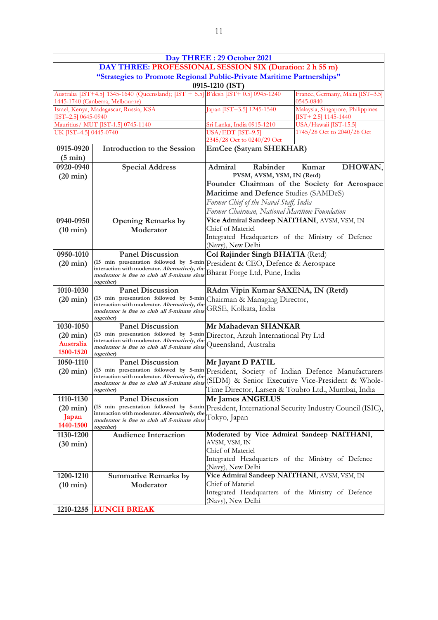|                                                                                                                                     |                                                                                                             | Day THREE: 29 October 2021                                                                       |                                                            |  |  |
|-------------------------------------------------------------------------------------------------------------------------------------|-------------------------------------------------------------------------------------------------------------|--------------------------------------------------------------------------------------------------|------------------------------------------------------------|--|--|
|                                                                                                                                     | DAY THREE: PROFESSIONAL SESSION SIX (Duration: 2 h 55 m)                                                    |                                                                                                  |                                                            |  |  |
|                                                                                                                                     | "Strategies to Promote Regional Public-Private Maritime Partnerships"<br>0915-1210 (IST)                    |                                                                                                  |                                                            |  |  |
| Australia [IST+4.5] 1345-1640 (Queensland); [IST + 5.5] B'desh [IST+ 0.5] 0945-1240<br>0545-0840<br>1445-1740 (Canberra, Melbourne) |                                                                                                             |                                                                                                  | France, Germany, Malta [IST-3.5]                           |  |  |
| $[IST-2.5] 0645-0940$                                                                                                               | Israel, Kenya, Madagascar, Russia, KSA                                                                      | Japan [IST+3.5] 1245-1540                                                                        | Malaysia, Singapore, Philippines<br>$[IST+ 2.5]$ 1145-1440 |  |  |
|                                                                                                                                     | Mauritius/ MUT [IST-1.5] 0745-1140                                                                          | Sri Lanka, India 0915-1210                                                                       | USA/Hawaii [IST-15.5]                                      |  |  |
| UK [IST-4.5] 0445-0740                                                                                                              |                                                                                                             | USA/EDT [IST-9.5]<br>1745/28 Oct to 2040/28 Oct<br>2345/28 Oct to 0240/29 Oct                    |                                                            |  |  |
| 0915-0920                                                                                                                           | <b>Introduction to the Session</b>                                                                          | <b>EmCee (Satyam SHEKHAR)</b>                                                                    |                                                            |  |  |
| $(5 \text{ min})$                                                                                                                   |                                                                                                             |                                                                                                  |                                                            |  |  |
| 0920-0940                                                                                                                           | <b>Special Address</b>                                                                                      | Admiral<br>Rabinder                                                                              | DHOWAN,<br>Kumar                                           |  |  |
| $(20 \text{ min})$                                                                                                                  |                                                                                                             | PVSM, AVSM, YSM, IN (Retd)                                                                       |                                                            |  |  |
|                                                                                                                                     |                                                                                                             |                                                                                                  | Founder Chairman of the Society for Aerospace              |  |  |
|                                                                                                                                     |                                                                                                             | Maritime and Defence Studies (SAMDeS)                                                            |                                                            |  |  |
|                                                                                                                                     |                                                                                                             | Former Chief of the Naval Staff, India                                                           |                                                            |  |  |
|                                                                                                                                     |                                                                                                             | Former Chairman, National Maritime Foundation                                                    |                                                            |  |  |
| 0940-0950                                                                                                                           | <b>Opening Remarks by</b>                                                                                   | Vice Admiral Sandeep NAITHANI, AVSM, VSM, IN                                                     |                                                            |  |  |
| $(10 \text{ min})$                                                                                                                  | Moderator                                                                                                   | Chief of Materiel                                                                                |                                                            |  |  |
|                                                                                                                                     |                                                                                                             | Integrated Headquarters of the Ministry of Defence                                               |                                                            |  |  |
| 0950-1010                                                                                                                           | <b>Panel Discussion</b>                                                                                     | (Navy), New Delhi                                                                                |                                                            |  |  |
| $(20 \text{ min})$                                                                                                                  | (15 min presentation followed by 5-min                                                                      | Col Rajinder Singh BHATIA (Retd)<br>President & CEO, Defence & Aerospace                         |                                                            |  |  |
|                                                                                                                                     | interaction with moderator. Alternatively, the<br>moderator is free to club all 5-minute slots              | Bharat Forge Ltd, Pune, India                                                                    |                                                            |  |  |
| 1010-1030                                                                                                                           | together)<br><b>Panel Discussion</b>                                                                        | RAdm Vipin Kumar SAXENA, IN (Retd)                                                               |                                                            |  |  |
| $(20 \text{ min})$                                                                                                                  | (15 min presentation followed by 5-min                                                                      | Chairman & Managing Director,                                                                    |                                                            |  |  |
|                                                                                                                                     | interaction with moderator. Alternatively, the<br>moderator is free to club all 5-minute slots<br>together) | GRSE, Kolkata, India                                                                             |                                                            |  |  |
| 1030-1050                                                                                                                           | <b>Panel Discussion</b>                                                                                     | Mr Mahadevan SHANKAR                                                                             |                                                            |  |  |
| $(20 \text{ min})$                                                                                                                  | (15 min presentation followed by 5-min Director, Arzuh International Pty Ltd                                |                                                                                                  |                                                            |  |  |
| <b>Australia</b>                                                                                                                    | interaction with moderator. Alternatively, the<br>moderator is free to club all 5-minute slots              | Queensland, Australia                                                                            |                                                            |  |  |
| 1500-1520                                                                                                                           | together)                                                                                                   |                                                                                                  |                                                            |  |  |
| 1050-1110                                                                                                                           | <b>Panel Discussion</b>                                                                                     | Mr Jayant D PATIL                                                                                |                                                            |  |  |
| $(20 \text{ min})$                                                                                                                  | (15 min presentation followed by 5-min President, Society of Indian Defence Manufacturers                   |                                                                                                  |                                                            |  |  |
|                                                                                                                                     |                                                                                                             | interaction with moderator. Alternatively, the (SIDM) & Senior Executive Vice-President & Whole- |                                                            |  |  |
|                                                                                                                                     | together)                                                                                                   | Time Director, Larsen & Toubro Ltd., Mumbai, India                                               |                                                            |  |  |
| 1110-1130                                                                                                                           | <b>Panel Discussion</b>                                                                                     | Mr James ANGELUS                                                                                 |                                                            |  |  |
| $(20 \text{ min})$                                                                                                                  | (15 min presentation followed by 5-min President, International Security Industry Council (ISIC),           |                                                                                                  |                                                            |  |  |
| Japan                                                                                                                               | interaction with moderator. Alternatively, the<br>moderator is free to club all 5-minute slots              | Tokyo, Japan                                                                                     |                                                            |  |  |
| 1440-1500                                                                                                                           | together)                                                                                                   |                                                                                                  |                                                            |  |  |
| 1130-1200                                                                                                                           | <b>Audience Interaction</b>                                                                                 | Moderated by Vice Admiral Sandeep NAITHANI,                                                      |                                                            |  |  |
| $(30 \text{ min})$                                                                                                                  |                                                                                                             | AVSM, VSM, IN                                                                                    |                                                            |  |  |
|                                                                                                                                     |                                                                                                             | Chief of Materiel                                                                                |                                                            |  |  |
|                                                                                                                                     |                                                                                                             | Integrated Headquarters of the Ministry of Defence<br>(Navy), New Delhi                          |                                                            |  |  |
| 1200-1210                                                                                                                           | <b>Summative Remarks by</b>                                                                                 | Vice Admiral Sandeep NAITHANI, AVSM, VSM, IN                                                     |                                                            |  |  |
| $(10 \text{ min})$                                                                                                                  | Moderator                                                                                                   | Chief of Materiel                                                                                |                                                            |  |  |
|                                                                                                                                     |                                                                                                             | Integrated Headquarters of the Ministry of Defence                                               |                                                            |  |  |
|                                                                                                                                     |                                                                                                             | (Navy), New Delhi                                                                                |                                                            |  |  |
| 1210-1255                                                                                                                           | <b>LUNCH BREAK</b>                                                                                          |                                                                                                  |                                                            |  |  |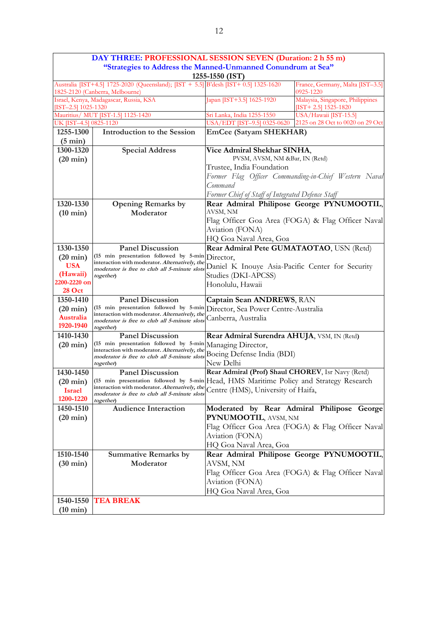|                                                                                                                        | DAY THREE: PROFESSIONAL SESSION SEVEN (Duration: 2 h 55 m)                                                                                         |                                                                                                                                             |                                                            |  |
|------------------------------------------------------------------------------------------------------------------------|----------------------------------------------------------------------------------------------------------------------------------------------------|---------------------------------------------------------------------------------------------------------------------------------------------|------------------------------------------------------------|--|
|                                                                                                                        | "Strategies to Address the Manned-Unmanned Conundrum at Sea"                                                                                       |                                                                                                                                             |                                                            |  |
|                                                                                                                        |                                                                                                                                                    | 1255-1550 (IST)                                                                                                                             |                                                            |  |
| Australia [IST+4.5] 1725-2020 (Queensland); [IST + 5.5] B'desh [IST+ 0.5] 1325-1620<br>1825-2120 (Canberra, Melbourne) | France, Germany, Malta [IST-3.5]<br>0925-1220                                                                                                      |                                                                                                                                             |                                                            |  |
| [IST-2.5] 1025-1320                                                                                                    | Israel, Kenya, Madagascar, Russia, KSA                                                                                                             | Japan [IST+3.5] 1625-1920                                                                                                                   | Malaysia, Singapore, Philippines<br>[IST+ 2.5] $1525-1820$ |  |
|                                                                                                                        | Mauritius/ MUT [IST-1.5] 1125-1420                                                                                                                 | Sri Lanka, India 1255-1550                                                                                                                  | USA/Hawaii [IST-15.5]                                      |  |
| UK [IST-4.5] 0825-1120                                                                                                 |                                                                                                                                                    | USA/EDT [IST-9.5] 0325-0620                                                                                                                 | 2125 on 28 Oct to 0020 on 29 Oct                           |  |
| 1255-1300                                                                                                              | <b>Introduction to the Session</b>                                                                                                                 | EmCee (Satyam SHEKHAR)                                                                                                                      |                                                            |  |
| $(5 \text{ min})$                                                                                                      |                                                                                                                                                    |                                                                                                                                             |                                                            |  |
| 1300-1320                                                                                                              | <b>Special Address</b>                                                                                                                             | Vice Admiral Shekhar SINHA,                                                                                                                 |                                                            |  |
| $(20 \text{ min})$                                                                                                     |                                                                                                                                                    | PVSM, AVSM, NM &Bar, IN (Retd)                                                                                                              |                                                            |  |
|                                                                                                                        |                                                                                                                                                    | Trustee, India Foundation                                                                                                                   |                                                            |  |
|                                                                                                                        |                                                                                                                                                    | Command                                                                                                                                     | Former Flag Officer Commanding-in-Chief Western Naval      |  |
|                                                                                                                        |                                                                                                                                                    |                                                                                                                                             |                                                            |  |
| 1320-1330                                                                                                              |                                                                                                                                                    | Former Chief of Staff of Integrated Defence Staff                                                                                           |                                                            |  |
|                                                                                                                        | <b>Opening Remarks by</b><br>Moderator                                                                                                             | AVSM, NM                                                                                                                                    | Rear Admiral Philipose George PYNUMOOTIL,                  |  |
| $(10 \text{ min})$                                                                                                     |                                                                                                                                                    |                                                                                                                                             | Flag Officer Goa Area (FOGA) & Flag Officer Naval          |  |
|                                                                                                                        |                                                                                                                                                    | Aviation (FONA)                                                                                                                             |                                                            |  |
|                                                                                                                        |                                                                                                                                                    | HQ Goa Naval Area, Goa                                                                                                                      |                                                            |  |
| 1330-1350                                                                                                              | <b>Panel Discussion</b>                                                                                                                            | Rear Admiral Pete GUMATAOTAO, USN (Retd)                                                                                                    |                                                            |  |
| $(20 \text{ min})$                                                                                                     | (15 min presentation followed by 5-min<br>Director,                                                                                                |                                                                                                                                             |                                                            |  |
| <b>USA</b>                                                                                                             | interaction with moderator. Alternatively, the<br>Daniel K Inouye Asia-Pacific Center for Security<br>moderator is free to club all 5-minute slots |                                                                                                                                             |                                                            |  |
| (Hawaii)                                                                                                               | Studies (DKI-APCSS)<br>together)                                                                                                                   |                                                                                                                                             |                                                            |  |
| 2200-2220 on                                                                                                           |                                                                                                                                                    | Honolulu, Hawaii                                                                                                                            |                                                            |  |
| <b>28 Oct</b>                                                                                                          |                                                                                                                                                    |                                                                                                                                             |                                                            |  |
| 1350-1410                                                                                                              | <b>Panel Discussion</b>                                                                                                                            | Captain Sean ANDREWS, RAN                                                                                                                   |                                                            |  |
| $(20 \text{ min})$                                                                                                     | (15 min presentation followed by 5-min<br>interaction with moderator. Alternatively, the                                                           | Director, Sea Power Centre-Australia                                                                                                        |                                                            |  |
| <b>Australia</b>                                                                                                       | moderator is free to club all 5-minute slots                                                                                                       | Canberra, Australia                                                                                                                         |                                                            |  |
| 1920-1940                                                                                                              | together)                                                                                                                                          |                                                                                                                                             |                                                            |  |
| 1410-1430                                                                                                              | <b>Panel Discussion</b><br>(15 min presentation followed by 5-min                                                                                  | Rear Admiral Surendra AHUJA, VSM, IN (Retd)                                                                                                 |                                                            |  |
| $(20 \text{ min})$                                                                                                     | interaction with moderator. Alternatively, the                                                                                                     | Managing Director,                                                                                                                          |                                                            |  |
|                                                                                                                        | moderator is free to club all 5-minute slots                                                                                                       | Boeing Defense India (BDI)<br>New Delhi                                                                                                     |                                                            |  |
| 1430-1450                                                                                                              | together)<br><b>Panel Discussion</b>                                                                                                               |                                                                                                                                             |                                                            |  |
| $(20 \text{ min})$                                                                                                     |                                                                                                                                                    | Rear Admiral (Prof) Shaul CHOREV, Isr Navy (Retd)<br>(15 min presentation followed by 5-min Head, HMS Maritime Policy and Strategy Research |                                                            |  |
| <b>Israel</b>                                                                                                          | interaction with moderator. Alternatively, the Centre (HMS), University of Haifa,                                                                  |                                                                                                                                             |                                                            |  |
| 1200-1220                                                                                                              | moderator is free to club all 5-minute slots<br>together)                                                                                          |                                                                                                                                             |                                                            |  |
| 1450-1510                                                                                                              | <b>Audience Interaction</b>                                                                                                                        |                                                                                                                                             | Moderated by Rear Admiral Philipose George                 |  |
| $(20 \text{ min})$                                                                                                     |                                                                                                                                                    | PYNUMOOTIL, AVSM, NM                                                                                                                        |                                                            |  |
|                                                                                                                        |                                                                                                                                                    |                                                                                                                                             | Flag Officer Goa Area (FOGA) & Flag Officer Naval          |  |
|                                                                                                                        |                                                                                                                                                    | Aviation (FONA)                                                                                                                             |                                                            |  |
|                                                                                                                        |                                                                                                                                                    | HQ Goa Naval Area, Goa                                                                                                                      |                                                            |  |
| 1510-1540                                                                                                              | <b>Summative Remarks by</b>                                                                                                                        |                                                                                                                                             | Rear Admiral Philipose George PYNUMOOTIL,                  |  |
| $(30 \text{ min})$                                                                                                     | Moderator                                                                                                                                          | AVSM, NM                                                                                                                                    |                                                            |  |
|                                                                                                                        |                                                                                                                                                    |                                                                                                                                             | Flag Officer Goa Area (FOGA) & Flag Officer Naval          |  |
|                                                                                                                        |                                                                                                                                                    | Aviation (FONA)                                                                                                                             |                                                            |  |
|                                                                                                                        |                                                                                                                                                    | HQ Goa Naval Area, Goa                                                                                                                      |                                                            |  |
| 1540-1550                                                                                                              | <b>TEA BREAK</b>                                                                                                                                   |                                                                                                                                             |                                                            |  |
| $(10 \text{ min})$                                                                                                     |                                                                                                                                                    |                                                                                                                                             |                                                            |  |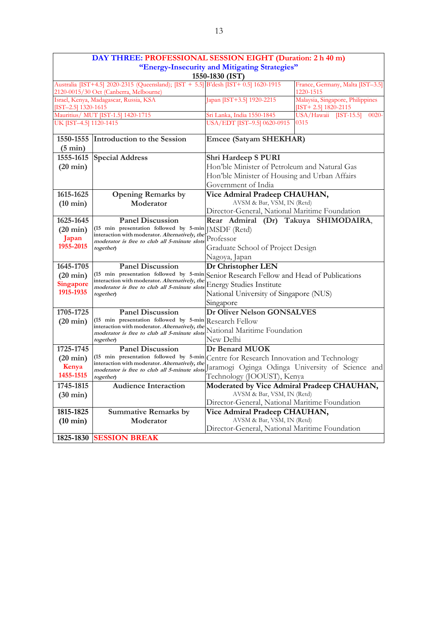|                                                                                              | DAY THREE: PROFESSIONAL SESSION EIGHT (Duration: 2 h 40 m)                                                                    |                                                  |                                                              |
|----------------------------------------------------------------------------------------------|-------------------------------------------------------------------------------------------------------------------------------|--------------------------------------------------|--------------------------------------------------------------|
|                                                                                              |                                                                                                                               | "Energy-Insecurity and Mitigating Strategies"    |                                                              |
|                                                                                              |                                                                                                                               | 1550-1830 (IST)                                  |                                                              |
|                                                                                              | Australia [IST+4.5] 2020-2315 (Queensland); [IST + 5.5] B'desh [IST+ 0.5] 1620-1915<br>2120-0015/30 Oct (Canberra, Melbourne) |                                                  | France, Germany, Malta [IST-3.5]<br>1220-1515                |
| [IST-2.5] 1320-1615                                                                          | Israel, Kenya, Madagascar, Russia, KSA                                                                                        | Japan [IST+3.5] 1920-2215                        | Malaysia, Singapore, Philippines<br>[IST+ 2.5] $1820 - 2115$ |
|                                                                                              | Mauritius/ MUT [IST-1.5] 1420-1715                                                                                            | Sri Lanka, India 1550-1845                       | USA/Hawaii [IST-15.5]<br>$-0020-$                            |
| UK [IST-4.5] 1120-1415                                                                       |                                                                                                                               | USA/EDT [IST-9.5] 0620-0915                      | 0315                                                         |
| 1550-1555                                                                                    | Introduction to the Session                                                                                                   | <b>Emcee (Satyam SHEKHAR)</b>                    |                                                              |
| $(5 \text{ min})$                                                                            |                                                                                                                               |                                                  |                                                              |
| 1555-1615                                                                                    | <b>Special Address</b>                                                                                                        | Shri Hardeep S PURI                              |                                                              |
| $(20 \text{ min})$                                                                           |                                                                                                                               | Hon'ble Minister of Petroleum and Natural Gas    |                                                              |
|                                                                                              |                                                                                                                               | Hon'ble Minister of Housing and Urban Affairs    |                                                              |
|                                                                                              |                                                                                                                               | Government of India                              |                                                              |
| 1615-1625                                                                                    | <b>Opening Remarks by</b>                                                                                                     | Vice Admiral Pradeep CHAUHAN,                    |                                                              |
| $(10 \text{ min})$                                                                           | Moderator                                                                                                                     | AVSM & Bar, VSM, IN (Retd)                       |                                                              |
|                                                                                              |                                                                                                                               | Director-General, National Maritime Foundation   |                                                              |
| 1625-1645                                                                                    | <b>Panel Discussion</b>                                                                                                       | Rear Admiral (Dr) Takuya SHIMODAIRA,             |                                                              |
| $(20 \text{ min})$                                                                           | (15 min presentation followed by 5-min<br>interaction with moderator. Alternatively, the                                      | JMSDF (Retd)                                     |                                                              |
| Japan<br>moderator is free to club all 5-minute slots                                        |                                                                                                                               | Professor                                        |                                                              |
| 1955-2015                                                                                    | together)                                                                                                                     | Graduate School of Project Design                |                                                              |
| Nagoya, Japan                                                                                |                                                                                                                               |                                                  |                                                              |
| 1645-1705                                                                                    | <b>Panel Discussion</b>                                                                                                       | Dr Christopher LEN                               |                                                              |
| $(20 \text{ min})$                                                                           | (15 min presentation followed by 5-min<br>interaction with moderator. Alternatively, the                                      | Senior Research Fellow and Head of Publications  |                                                              |
| Singapore<br><b>Energy Studies Institute</b><br>moderator is free to club all 5-minute slots |                                                                                                                               |                                                  |                                                              |
| 1915-1935                                                                                    | together)                                                                                                                     | National University of Singapore (NUS)           |                                                              |
|                                                                                              |                                                                                                                               | Singapore                                        |                                                              |
| 1705-1725                                                                                    | <b>Panel Discussion</b>                                                                                                       | <b>Dr Oliver Nelson GONSALVES</b>                |                                                              |
| $(20 \text{ min})$                                                                           | (15 min presentation followed by 5-min Research Fellow                                                                        |                                                  |                                                              |
|                                                                                              | interaction with moderator. Alternatively, the<br>moderator is free to club all 5-minute slots                                | National Maritime Foundation                     |                                                              |
|                                                                                              | together)                                                                                                                     | New Delhi                                        |                                                              |
| 1725-1745                                                                                    | <b>Panel Discussion</b>                                                                                                       | Dr Benard MUOK                                   |                                                              |
| $(20 \text{ min})$                                                                           | (15 min presentation followed by 5-min                                                                                        | Centre for Research Innovation and Technology    |                                                              |
| Kenya                                                                                        | interaction with moderator. Alternatively, the<br>moderator is free to club all 5-minute slots                                | Jaramogi Oginga Odinga University of Science and |                                                              |
| 1455-1515                                                                                    | together)                                                                                                                     | Technology (JOOUST), Kenya                       |                                                              |
| 1745-1815                                                                                    | Audience Interaction                                                                                                          | Moderated by Vice Admiral Pradeep CHAUHAN,       |                                                              |
| $(30 \text{ min})$                                                                           |                                                                                                                               | AVSM & Bar, VSM, IN (Retd)                       |                                                              |
|                                                                                              |                                                                                                                               | Director-General, National Maritime Foundation   |                                                              |
| 1815-1825                                                                                    | <b>Summative Remarks by</b>                                                                                                   | Vice Admiral Pradeep CHAUHAN,                    |                                                              |
| $(10 \text{ min})$                                                                           | Moderator                                                                                                                     | AVSM & Bar, VSM, IN (Retd)                       |                                                              |
|                                                                                              |                                                                                                                               | Director-General, National Maritime Foundation   |                                                              |
| 1825-1830                                                                                    | <b>SESSION BREAK</b>                                                                                                          |                                                  |                                                              |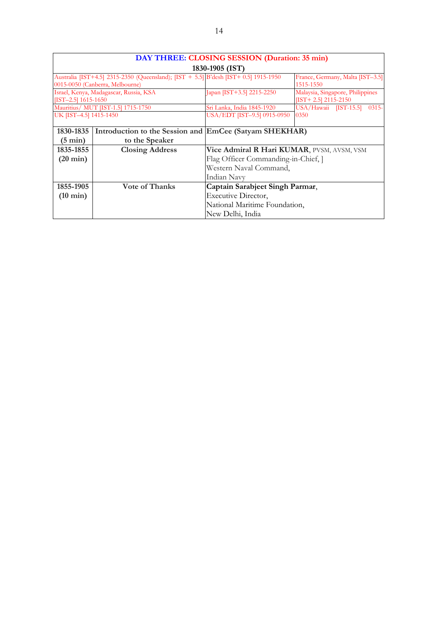|                        | DAY THREE: CLOSING SESSION (Duration: 35 min)                                       |                                            |                                   |  |  |  |
|------------------------|-------------------------------------------------------------------------------------|--------------------------------------------|-----------------------------------|--|--|--|
|                        | 1830-1905 (IST)                                                                     |                                            |                                   |  |  |  |
|                        | Australia [IST+4.5] 2315-2350 (Queensland); [IST + 5.5] B'desh [IST+ 0.5] 1915-1950 |                                            | France, Germany, Malta [IST-3.5]  |  |  |  |
|                        | 0015-0050 (Canberra, Melbourne)                                                     |                                            | 1515-1550                         |  |  |  |
|                        | Israel, Kenya, Madagascar, Russia, KSA                                              | Japan [IST+3.5] 2215-2250                  | Malaysia, Singapore, Philippines  |  |  |  |
| $[TST-2.5]$ 1615-1650  |                                                                                     |                                            | $[TST+ 2.5]$ 2115-2150            |  |  |  |
|                        | Mauritius/ MUT [IST-1.5] 1715-1750                                                  | Sri Lanka, India 1845-1920                 | USA/Hawaii [IST-15.5]<br>$0315 -$ |  |  |  |
| UK [IST-4.5] 1415-1450 |                                                                                     | USA/EDT [IST-9.5] 0915-0950                | 0350                              |  |  |  |
|                        |                                                                                     |                                            |                                   |  |  |  |
| 1830-1835              | Introduction to the Session and EmCee (Satyam SHEKHAR)                              |                                            |                                   |  |  |  |
| $(5 \text{ min})$      | to the Speaker                                                                      |                                            |                                   |  |  |  |
| 1835-1855              | <b>Closing Address</b>                                                              | Vice Admiral R Hari KUMAR, PVSM, AVSM, VSM |                                   |  |  |  |
| $(20 \text{ min})$     |                                                                                     | Flag Officer Commanding-in-Chief, ]        |                                   |  |  |  |
|                        |                                                                                     | Western Naval Command,                     |                                   |  |  |  |
|                        |                                                                                     | Indian Navv                                |                                   |  |  |  |
| 1855-1905              | <b>Vote of Thanks</b>                                                               | Captain Sarabjeet Singh Parmar,            |                                   |  |  |  |
| $(10 \text{ min})$     |                                                                                     | Executive Director,                        |                                   |  |  |  |
|                        |                                                                                     | National Maritime Foundation,              |                                   |  |  |  |
|                        |                                                                                     | New Delhi, India                           |                                   |  |  |  |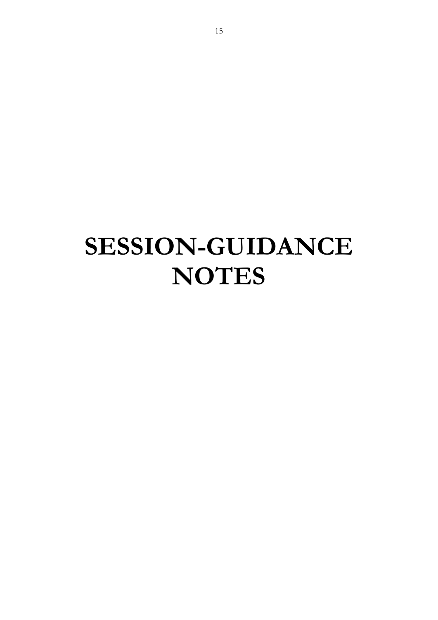# **SESSION-GUIDANCE NOTES**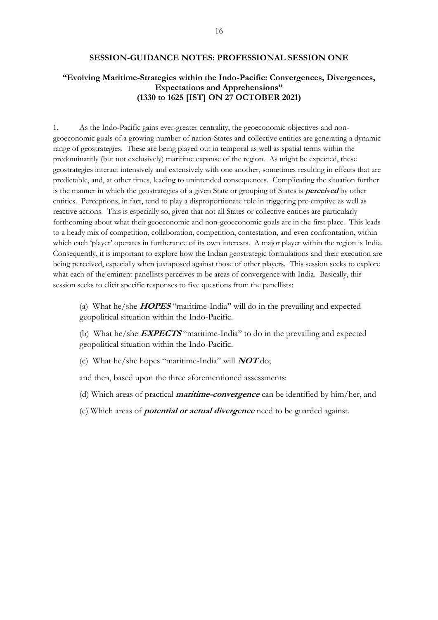#### **SESSION-GUIDANCE NOTES: PROFESSIONAL SESSION ONE**

#### **"Evolving Maritime-Strategies within the Indo-Pacific: Convergences, Divergences, Expectations and Apprehensions" (1330 to 1625 [IST] ON 27 OCTOBER 2021)**

1. As the Indo-Pacific gains ever-greater centrality, the geoeconomic objectives and nongeoeconomic goals of a growing number of nation-States and collective entities are generating a dynamic range of geostrategies. These are being played out in temporal as well as spatial terms within the predominantly (but not exclusively) maritime expanse of the region. As might be expected, these geostrategies interact intensively and extensively with one another, sometimes resulting in effects that are predictable, and, at other times, leading to unintended consequences. Complicating the situation further is the manner in which the geostrategies of a given State or grouping of States is **perceived** by other entities. Perceptions, in fact, tend to play a disproportionate role in triggering pre-emptive as well as reactive actions. This is especially so, given that not all States or collective entities are particularly forthcoming about what their geoeconomic and non-geoeconomic goals are in the first place. This leads to a heady mix of competition, collaboration, competition, contestation, and even confrontation, within which each 'player' operates in furtherance of its own interests. A major player within the region is India. Consequently, it is important to explore how the Indian geostrategic formulations and their execution are being perceived, especially when juxtaposed against those of other players. This session seeks to explore what each of the eminent panellists perceives to be areas of convergence with India. Basically, this session seeks to elicit specific responses to five questions from the panellists:

(a) What he/she **HOPES** "maritime-India" will do in the prevailing and expected geopolitical situation within the Indo-Pacific.

(b) What he/she **EXPECTS** "maritime-India" to do in the prevailing and expected geopolitical situation within the Indo-Pacific.

(c) What he/she hopes "maritime-India" will **NOT** do;

and then, based upon the three aforementioned assessments:

(d) Which areas of practical **maritime-convergence** can be identified by him/her, and

(e) Which areas of **potential or actual divergence** need to be guarded against.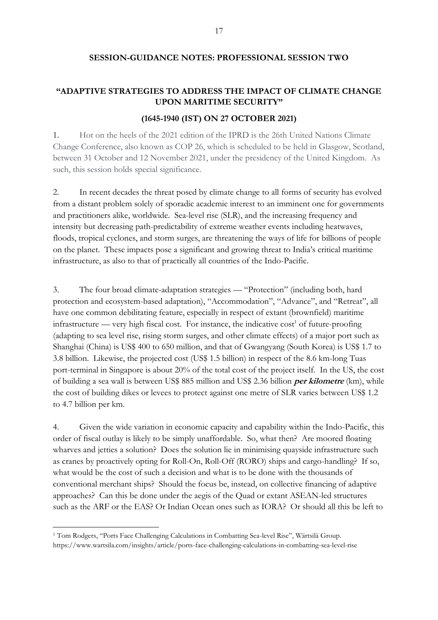#### **SESSION-GUIDANCE NOTES: PROFESSIONAL SESSION TWO**

#### **"ADAPTIVE STRATEGIES TO ADDRESS THE IMPACT OF CLIMATE CHANGE UPON MARITIME SECURITY"**

#### **(1645-1940 (IST) ON 27 OCTOBER 2021)**

1. Hot on the heels of the 2021 edition of the IPRD is the 26th United Nations Climate Change Conference, also known as COP 26, which is scheduled to be held in Glasgow, Scotland, between 31 October and 12 November 2021, under the presidency of the United Kingdom. As such, this session holds special significance.

2. In recent decades the threat posed by climate change to all forms of security has evolved from a distant problem solely of sporadic academic interest to an imminent one for governments and practitioners alike, worldwide. Sea-level rise (SLR), and the increasing frequency and intensity but decreasing path-predictability of extreme weather events including heatwaves, floods, tropical cyclones, and storm surges, are threatening the ways of life for billions of people on the planet. These impacts pose a significant and growing threat to India's critical maritime infrastructure, as also to that of practically all countries of the Indo-Pacific.

3. The four broad climate-adaptation strategies — "Protection" (including both, hard protection and ecosystem-based adaptation), "Accommodation", "Advance", and "Retreat", all have one common debilitating feature, especially in respect of extant (brownfield) maritime infrastructure — very high fiscal cost. For instance, the indicative  $cost<sup>1</sup>$  of future-proofing (adapting to sea level rise, rising storm surges, and other climate effects) of a major port such as Shanghai (China) is US\$ 400 to 650 million, and that of Gwangyang (South Korea) is US\$ 1.7 to 3.8 billion. Likewise, the projected cost (US\$ 1.5 billion) in respect of the 8.6 km-long Tuas port-terminal in Singapore is about 20% of the total cost of the project itself. In the US, the cost of building a sea wall is between US\$ 885 million and US\$ 2.36 billion **per kilometre** (km), while the cost of building dikes or levees to protect against one metre of SLR varies between US\$ 1.2 to 4.7 billion per km.

4. Given the wide variation in economic capacity and capability within the Indo-Pacific, this order of fiscal outlay is likely to be simply unaffordable. So, what then? Are moored floating wharves and jetties a solution? Does the solution lie in minimising quayside infrastructure such as cranes by proactively opting for Roll-On, Roll-Off (RORO) ships and cargo-handling? If so, what would be the cost of such a decision and what is to be done with the thousands of conventional merchant ships? Should the focus be, instead, on collective financing of adaptive approaches? Can this be done under the aegis of the Quad or extant ASEAN-led structures such as the ARF or the EAS? Or Indian Ocean ones such as IORA? Or should all this be left to

<sup>-</sup><sup>1</sup> Tom Rodgers, "Ports Face Challenging Calculations in Combatting Sea-level Rise", Wärtsilä Group. https://www.wartsila.com/insights/article/ports-face-challenging-calculations-in-combatting-sea-level-rise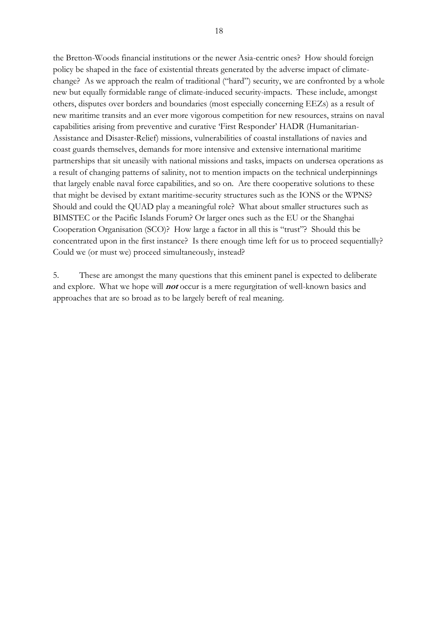the Bretton-Woods financial institutions or the newer Asia-centric ones? How should foreign policy be shaped in the face of existential threats generated by the adverse impact of climatechange? As we approach the realm of traditional ("hard") security, we are confronted by a whole new but equally formidable range of climate-induced security-impacts. These include, amongst others, disputes over borders and boundaries (most especially concerning EEZs) as a result of new maritime transits and an ever more vigorous competition for new resources, strains on naval capabilities arising from preventive and curative 'First Responder' HADR (Humanitarian-Assistance and Disaster-Relief) missions, vulnerabilities of coastal installations of navies and coast guards themselves, demands for more intensive and extensive international maritime partnerships that sit uneasily with national missions and tasks, impacts on undersea operations as a result of changing patterns of salinity, not to mention impacts on the technical underpinnings that largely enable naval force capabilities, and so on. Are there cooperative solutions to these that might be devised by extant maritime-security structures such as the IONS or the WPNS? Should and could the QUAD play a meaningful role? What about smaller structures such as BIMSTEC or the Pacific Islands Forum? Or larger ones such as the EU or the Shanghai Cooperation Organisation (SCO)? How large a factor in all this is "trust"? Should this be concentrated upon in the first instance? Is there enough time left for us to proceed sequentially? Could we (or must we) proceed simultaneously, instead?

5. These are amongst the many questions that this eminent panel is expected to deliberate and explore. What we hope will **not** occur is a mere regurgitation of well-known basics and approaches that are so broad as to be largely bereft of real meaning.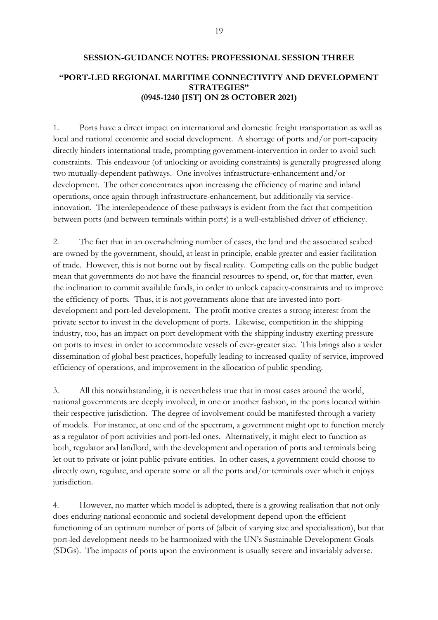### **SESSION-GUIDANCE NOTES: PROFESSIONAL SESSION THREE "PORT-LED REGIONAL MARITIME CONNECTIVITY AND DEVELOPMENT STRATEGIES" (0945-1240 [IST] ON 28 OCTOBER 2021)**

1. Ports have a direct impact on international and domestic freight transportation as well as local and national economic and social development. A shortage of ports and/or port-capacity directly hinders international trade, prompting government-intervention in order to avoid such constraints. This endeavour (of unlocking or avoiding constraints) is generally progressed along two mutually-dependent pathways. One involves infrastructure-enhancement and/or development. The other concentrates upon increasing the efficiency of marine and inland operations, once again through infrastructure-enhancement, but additionally via serviceinnovation. The interdependence of these pathways is evident from the fact that competition between ports (and between terminals within ports) is a well-established driver of efficiency.

2. The fact that in an overwhelming number of cases, the land and the associated seabed are owned by the government, should, at least in principle, enable greater and easier facilitation of trade. However, this is not borne out by fiscal reality. Competing calls on the public budget mean that governments do not have the financial resources to spend, or, for that matter, even the inclination to commit available funds, in order to unlock capacity-constraints and to improve the efficiency of ports. Thus, it is not governments alone that are invested into portdevelopment and port-led development. The profit motive creates a strong interest from the private sector to invest in the development of ports. Likewise, competition in the shipping industry, too, has an impact on port development with the shipping industry exerting pressure on ports to invest in order to accommodate vessels of ever-greater size. This brings also a wider dissemination of global best practices, hopefully leading to increased quality of service, improved efficiency of operations, and improvement in the allocation of public spending.

3. All this notwithstanding, it is nevertheless true that in most cases around the world, national governments are deeply involved, in one or another fashion, in the ports located within their respective jurisdiction. The degree of involvement could be manifested through a variety of models. For instance, at one end of the spectrum, a government might opt to function merely as a regulator of port activities and port-led ones. Alternatively, it might elect to function as both, regulator and landlord, with the development and operation of ports and terminals being let out to private or joint public-private entities. In other cases, a government could choose to directly own, regulate, and operate some or all the ports and/or terminals over which it enjoys jurisdiction.

4. However, no matter which model is adopted, there is a growing realisation that not only does enduring national economic and societal development depend upon the efficient functioning of an optimum number of ports of (albeit of varying size and specialisation), but that port-led development needs to be harmonized with the UN's Sustainable Development Goals (SDGs). The impacts of ports upon the environment is usually severe and invariably adverse.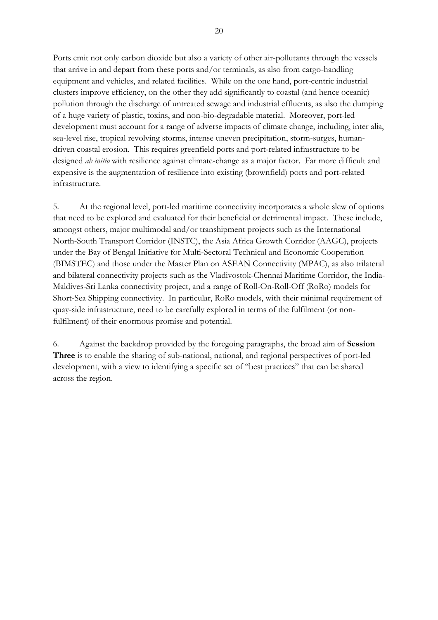Ports emit not only carbon dioxide but also a variety of other air-pollutants through the vessels that arrive in and depart from these ports and/or terminals, as also from cargo-handling equipment and vehicles, and related facilities. While on the one hand, port-centric industrial clusters improve efficiency, on the other they add significantly to coastal (and hence oceanic) pollution through the discharge of untreated sewage and industrial effluents, as also the dumping of a huge variety of plastic, toxins, and non-bio-degradable material. Moreover, port-led development must account for a range of adverse impacts of climate change, including, inter alia, sea-level rise, tropical revolving storms, intense uneven precipitation, storm-surges, humandriven coastal erosion. This requires greenfield ports and port-related infrastructure to be designed *ab initio* with resilience against climate-change as a major factor. Far more difficult and expensive is the augmentation of resilience into existing (brownfield) ports and port-related infrastructure.

5. At the regional level, port-led maritime connectivity incorporates a whole slew of options that need to be explored and evaluated for their beneficial or detrimental impact. These include, amongst others, major multimodal and/or transhipment projects such as the International North-South Transport Corridor (INSTC), the Asia Africa Growth Corridor (AAGC), projects under the Bay of Bengal Initiative for Multi-Sectoral Technical and Economic Cooperation (BIMSTEC) and those under the Master Plan on ASEAN Connectivity (MPAC), as also trilateral and bilateral connectivity projects such as the Vladivostok-Chennai Maritime Corridor, the India-Maldives-Sri Lanka connectivity project, and a range of Roll-On-Roll-Off (RoRo) models for Short-Sea Shipping connectivity. In particular, RoRo models, with their minimal requirement of quay-side infrastructure, need to be carefully explored in terms of the fulfilment (or nonfulfilment) of their enormous promise and potential.

6. Against the backdrop provided by the foregoing paragraphs, the broad aim of **Session Three** is to enable the sharing of sub-national, national, and regional perspectives of port-led development, with a view to identifying a specific set of "best practices" that can be shared across the region.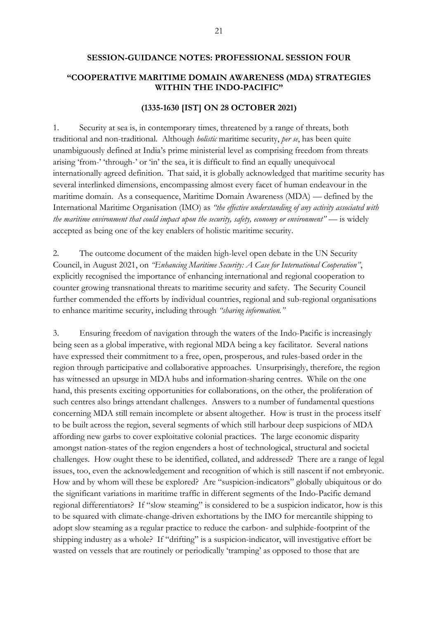#### **SESSION-GUIDANCE NOTES: PROFESSIONAL SESSION FOUR**

#### **"COOPERATIVE MARITIME DOMAIN AWARENESS (MDA) STRATEGIES WITHIN THE INDO-PACIFIC"**

#### **(1335-1630 [IST] ON 28 OCTOBER 2021)**

1. Security at sea is, in contemporary times, threatened by a range of threats, both traditional and non-traditional. Although *holistic* maritime security, *per se*, has been quite unambiguously defined at India's prime ministerial level as comprising freedom from threats arising 'from-' 'through-' or 'in' the sea, it is difficult to find an equally unequivocal internationally agreed definition. That said, it is globally acknowledged that maritime security has several interlinked dimensions, encompassing almost every facet of human endeavour in the maritime domain. As a consequence, Maritime Domain Awareness (MDA) — defined by the International Maritime Organisation (IMO) as *"the effective understanding of any activity associated with the maritime environment that could impact upon the security, safety, economy or environment"* — is widely accepted as being one of the key enablers of holistic maritime security.

2. The outcome document of the maiden high-level open debate in the UN Security Council, in August 2021, on *"Enhancing Maritime Security: A Case for International Cooperation"*, explicitly recognised the importance of enhancing international and regional cooperation to counter growing transnational threats to maritime security and safety. The Security Council further commended the efforts by individual countries, regional and sub-regional organisations to enhance maritime security, including through *"sharing information."*

3. Ensuring freedom of navigation through the waters of the Indo-Pacific is increasingly being seen as a global imperative, with regional MDA being a key facilitator. Several nations have expressed their commitment to a free, open, prosperous, and rules-based order in the region through participative and collaborative approaches. Unsurprisingly, therefore, the region has witnessed an upsurge in MDA hubs and information-sharing centres. While on the one hand, this presents exciting opportunities for collaborations, on the other, the proliferation of such centres also brings attendant challenges. Answers to a number of fundamental questions concerning MDA still remain incomplete or absent altogether. How is trust in the process itself to be built across the region, several segments of which still harbour deep suspicions of MDA affording new garbs to cover exploitative colonial practices. The large economic disparity amongst nation-states of the region engenders a host of technological, structural and societal challenges. How ought these to be identified, collated, and addressed? There are a range of legal issues, too, even the acknowledgement and recognition of which is still nascent if not embryonic. How and by whom will these be explored? Are "suspicion-indicators" globally ubiquitous or do the significant variations in maritime traffic in different segments of the Indo-Pacific demand regional differentiators? If "slow steaming" is considered to be a suspicion indicator, how is this to be squared with climate-change-driven exhortations by the IMO for mercantile shipping to adopt slow steaming as a regular practice to reduce the carbon- and sulphide-footprint of the shipping industry as a whole? If "drifting" is a suspicion-indicator, will investigative effort be wasted on vessels that are routinely or periodically 'tramping' as opposed to those that are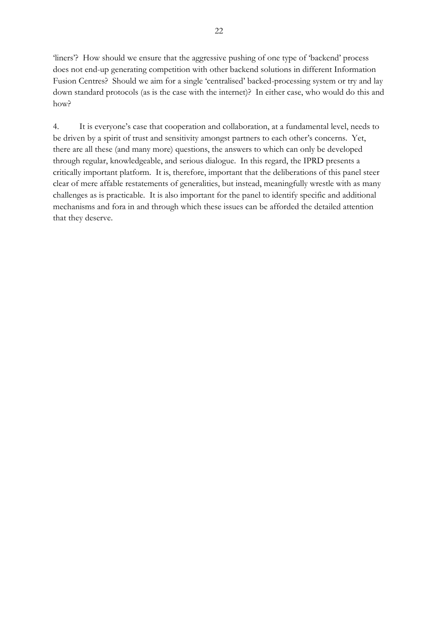'liners'? How should we ensure that the aggressive pushing of one type of 'backend' process does not end-up generating competition with other backend solutions in different Information Fusion Centres? Should we aim for a single 'centralised' backed-processing system or try and lay down standard protocols (as is the case with the internet)? In either case, who would do this and how?

4. It is everyone's case that cooperation and collaboration, at a fundamental level, needs to be driven by a spirit of trust and sensitivity amongst partners to each other's concerns. Yet, there are all these (and many more) questions, the answers to which can only be developed through regular, knowledgeable, and serious dialogue. In this regard, the IPRD presents a critically important platform. It is, therefore, important that the deliberations of this panel steer clear of mere affable restatements of generalities, but instead, meaningfully wrestle with as many challenges as is practicable. It is also important for the panel to identify specific and additional mechanisms and fora in and through which these issues can be afforded the detailed attention that they deserve.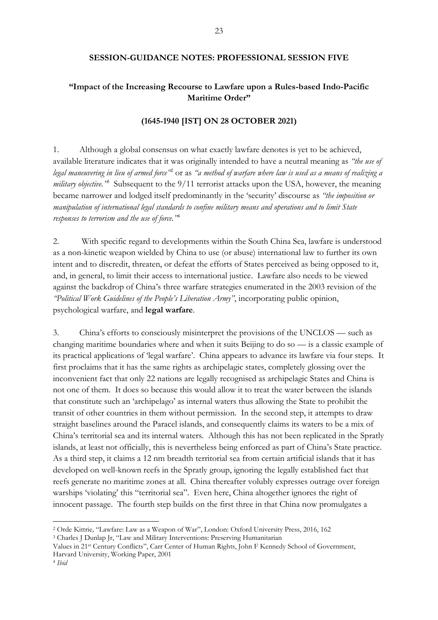#### **SESSION-GUIDANCE NOTES: PROFESSIONAL SESSION FIVE**

#### **"Impact of the Increasing Recourse to Lawfare upon a Rules-based Indo-Pacific Maritime Order"**

#### **(1645-1940 [IST] ON 28 OCTOBER 2021)**

1. Although a global consensus on what exactly lawfare denotes is yet to be achieved, available literature indicates that it was originally intended to have a neutral meaning as *"the use of legal maneuvering in lieu of armed force"*<sup>2</sup> or as *"a method of warfare where law is used as a means of realizing a*  military objective.<sup>35</sup> Subsequent to the 9/11 terrorist attacks upon the USA, however, the meaning became narrower and lodged itself predominantly in the 'security' discourse as *"the imposition or manipulation of international legal standards to confine military means and operations and to limit State responses to terrorism and the use of force."*<sup>4</sup>

2. With specific regard to developments within the South China Sea, lawfare is understood as a non-kinetic weapon wielded by China to use (or abuse) international law to further its own intent and to discredit, threaten, or defeat the efforts of States perceived as being opposed to it, and, in general, to limit their access to international justice. Lawfare also needs to be viewed against the backdrop of China's three warfare strategies enumerated in the 2003 revision of the *"Political Work Guidelines of the People's Liberation Army"*, incorporating public opinion, psychological warfare, and **legal warfare**.

3. China's efforts to consciously misinterpret the provisions of the UNCLOS — such as changing maritime boundaries where and when it suits Beijing to do so — is a classic example of its practical applications of 'legal warfare'. China appears to advance its lawfare via four steps. It first proclaims that it has the same rights as archipelagic states, completely glossing over the inconvenient fact that only 22 nations are legally recognised as archipelagic States and China is not one of them. It does so because this would allow it to treat the water between the islands that constitute such an 'archipelago' as internal waters thus allowing the State to prohibit the transit of other countries in them without permission. In the second step, it attempts to draw straight baselines around the Paracel islands, and consequently claims its waters to be a mix of China's territorial sea and its internal waters. Although this has not been replicated in the Spratly islands, at least not officially, this is nevertheless being enforced as part of China's State practice. As a third step, it claims a 12 nm breadth territorial sea from certain artificial islands that it has developed on well-known reefs in the Spratly group, ignoring the legally established fact that reefs generate no maritime zones at all. China thereafter volubly expresses outrage over foreign warships 'violating' this "territorial sea". Even here, China altogether ignores the right of innocent passage. The fourth step builds on the first three in that China now promulgates a

-

<sup>2</sup> Orde Kittrie*,* "Lawfare: Law as a Weapon of War", London: Oxford University Press, 2016, 162

<sup>3</sup> Charles J Dunlap Jr, "Law and Military Interventions: Preserving Humanitarian

Values in 21st Century Conflicts", Carr Center of Human Rights, John F Kennedy School of Government, Harvard University, Working Paper, 2001

<sup>4</sup> *Ibid*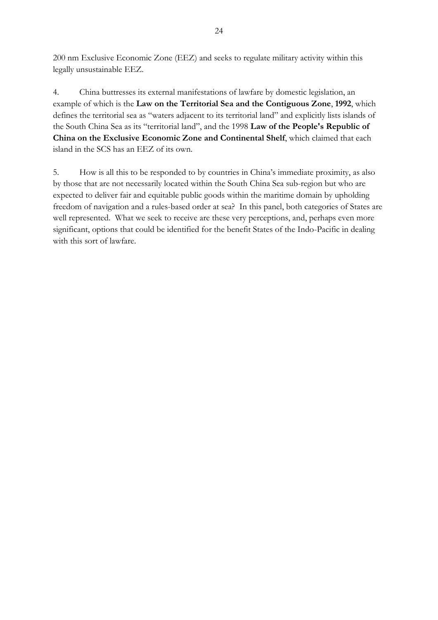200 nm Exclusive Economic Zone (EEZ) and seeks to regulate military activity within this legally unsustainable EEZ.

4. China buttresses its external manifestations of lawfare by domestic legislation, an example of which is the **Law on the Territorial Sea and the Contiguous Zone**, **1992**, which defines the territorial sea as "waters adjacent to its territorial land" and explicitly lists islands of the South China Sea as its "territorial land", and the 1998 **Law of the People's Republic of China on the Exclusive Economic Zone and Continental Shelf**, which claimed that each island in the SCS has an EEZ of its own.

5. How is all this to be responded to by countries in China's immediate proximity, as also by those that are not necessarily located within the South China Sea sub-region but who are expected to deliver fair and equitable public goods within the maritime domain by upholding freedom of navigation and a rules-based order at sea? In this panel, both categories of States are well represented. What we seek to receive are these very perceptions, and, perhaps even more significant, options that could be identified for the benefit States of the Indo-Pacific in dealing with this sort of lawfare.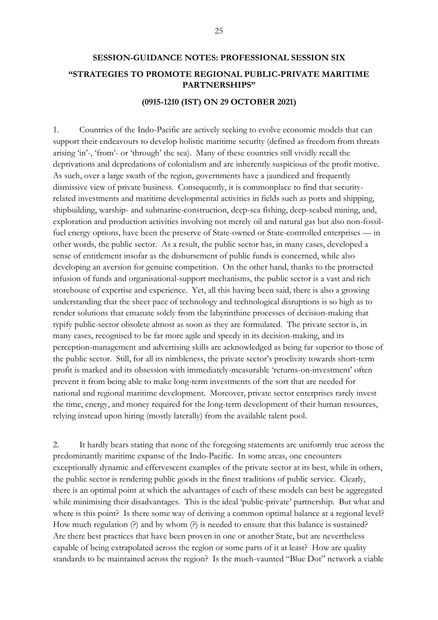### **SESSION-GUIDANCE NOTES: PROFESSIONAL SESSION SIX "STRATEGIES TO PROMOTE REGIONAL PUBLIC-PRIVATE MARITIME PARTNERSHIPS"**

#### **(0915-1210 (IST) ON 29 OCTOBER 2021)**

1. Countries of the Indo-Pacific are actively seeking to evolve economic models that can support their endeavours to develop holistic maritime security (defined as freedom from threats arising 'in'-, 'from'- or 'through' the sea). Many of these countries still vividly recall the deprivations and depredations of colonialism and are inherently suspicious of the profit motive. As such, over a large swath of the region, governments have a jaundiced and frequently dismissive view of private business. Consequently, it is commonplace to find that securityrelated investments and maritime developmental activities in fields such as ports and shipping, shipbuilding, warship- and submarine-construction, deep-sea fishing, deep-seabed mining, and, exploration and production activities involving not merely oil and natural gas but also non-fossilfuel energy options, have been the preserve of State-owned or State-controlled enterprises — in other words, the public sector. As a result, the public sector has, in many cases, developed a sense of entitlement insofar as the disbursement of public funds is concerned, while also developing an aversion for genuine competition. On the other hand, thanks to the protracted infusion of funds and organisational-support mechanisms, the public sector is a vast and rich storehouse of expertise and experience. Yet, all this having been said, there is also a growing understanding that the sheer pace of technology and technological disruptions is so high as to render solutions that emanate solely from the labyrinthine processes of decision-making that typify public-sector obsolete almost as soon as they are formulated. The private sector is, in many cases, recognised to be far more agile and speedy in its decision-making, and its perception-management and advertising skills are acknowledged as being far superior to those of the public sector. Still, for all its nimbleness, the private sector's proclivity towards short-term profit is marked and its obsession with immediately-measurable 'returns-on-investment' often prevent it from being able to make long-term investments of the sort that are needed for national and regional maritime development. Moreover, private sector enterprises rarely invest the time, energy, and money required for the long-term development of their human resources, relying instead upon hiring (mostly laterally) from the available talent pool.

2. It hardly bears stating that none of the foregoing statements are uniformly true across the predominantly maritime expanse of the Indo-Pacific. In some areas, one encounters exceptionally dynamic and effervescent examples of the private sector at its best, while in others, the public sector is rendering public goods in the finest traditions of public service. Clearly, there is an optimal point at which the advantages of each of these models can best be aggregated while minimising their disadvantages. This is the ideal 'public-private' partnership. But what and where is this point? Is there some way of deriving a common optimal balance at a regional level? How much regulation (?) and by whom (?) is needed to ensure that this balance is sustained? Are there best practices that have been proven in one or another State, but are nevertheless capable of being extrapolated across the region or some parts of it at least? How are quality standards to be maintained across the region? Is the much-vaunted "Blue Dot" network a viable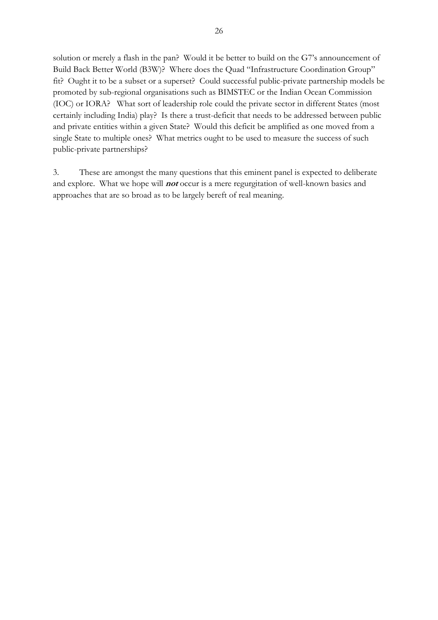solution or merely a flash in the pan? Would it be better to build on the G7's announcement of Build Back Better World (B3W)? Where does the Quad "Infrastructure Coordination Group" fit? Ought it to be a subset or a superset? Could successful public-private partnership models be promoted by sub-regional organisations such as BIMSTEC or the Indian Ocean Commission (IOC) or IORA? What sort of leadership role could the private sector in different States (most certainly including India) play? Is there a trust-deficit that needs to be addressed between public and private entities within a given State? Would this deficit be amplified as one moved from a single State to multiple ones? What metrics ought to be used to measure the success of such public-private partnerships?

3. These are amongst the many questions that this eminent panel is expected to deliberate and explore. What we hope will **not** occur is a mere regurgitation of well-known basics and approaches that are so broad as to be largely bereft of real meaning.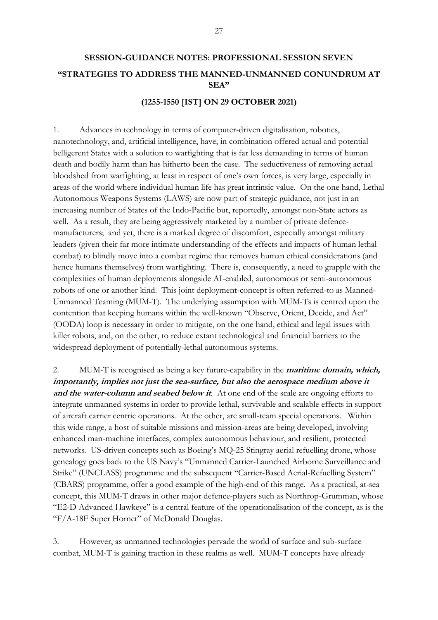#### **(1255-1550 [IST] ON 29 OCTOBER 2021)**

1. Advances in technology in terms of computer-driven digitalisation, robotics, nanotechnology, and, artificial intelligence, have, in combination offered actual and potential belligerent States with a solution to warfighting that is far less demanding in terms of human death and bodily harm than has hitherto been the case. The seductiveness of removing actual bloodshed from warfighting, at least in respect of one's own forces, is very large, especially in areas of the world where individual human life has great intrinsic value. On the one hand, Lethal Autonomous Weapons Systems (LAWS) are now part of strategic guidance, not just in an increasing number of States of the Indo-Pacific but, reportedly, amongst non-State actors as well. As a result, they are being aggressively marketed by a number of private defencemanufacturers; and yet, there is a marked degree of discomfort, especially amongst military leaders (given their far more intimate understanding of the effects and impacts of human lethal combat) to blindly move into a combat regime that removes human ethical considerations (and hence humans themselves) from warfighting. There is, consequently, a need to grapple with the complexities of human deployments alongside AI-enabled, autonomous or semi-autonomous robots of one or another kind. This joint deployment-concept is often referred-to as Manned-Unmanned Teaming (MUM-T). The underlying assumption with MUM-Ts is centred upon the contention that keeping humans within the well-known "Observe, Orient, Decide, and Act" (OODA) loop is necessary in order to mitigate, on the one hand, ethical and legal issues with killer robots, and, on the other, to reduce extant technological and financial barriers to the widespread deployment of potentially-lethal autonomous systems.

2. MUM-T is recognised as being a key future-capability in the **maritime domain, which, importantly, implies not just the sea-surface, but also the aerospace medium above it**  and the water-column and seabed below it. At one end of the scale are ongoing efforts to integrate unmanned systems in order to provide lethal, survivable and scalable effects in support of aircraft carrier centric operations. At the other, are small-team special operations. Within this wide range, a host of suitable missions and mission-areas are being developed, involving enhanced man-machine interfaces, complex autonomous behaviour, and resilient, protected networks. US-driven concepts such as Boeing's MQ-25 Stingray aerial refuelling drone, whose genealogy goes back to the US Navy's "Unmanned Carrier-Launched Airborne Surveillance and Strike" (UNCLASS) programme and the subsequent "Carrier-Based Aerial-Refuelling System" (CBARS) programme, offer a good example of the high-end of this range. As a practical, at-sea concept, this MUM-T draws in other major defence-players such as Northrop-Grumman, whose "E2-D Advanced Hawkeye" is a central feature of the operationalisation of the concept, as is the "F/A-18F Super Hornet" of McDonald Douglas.

3. However, as unmanned technologies pervade the world of surface and sub-surface combat, MUM-T is gaining traction in these realms as well. MUM-T concepts have already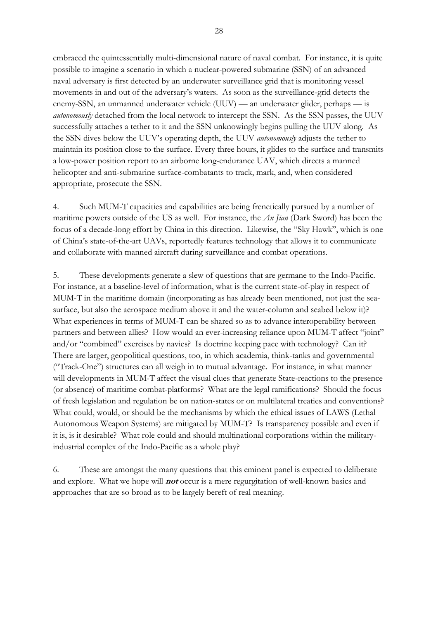embraced the quintessentially multi-dimensional nature of naval combat. For instance, it is quite possible to imagine a scenario in which a nuclear-powered submarine (SSN) of an advanced naval adversary is first detected by an underwater surveillance grid that is monitoring vessel movements in and out of the adversary's waters. As soon as the surveillance-grid detects the enemy-SSN, an unmanned underwater vehicle (UUV) — an underwater glider, perhaps — is *autonomously* detached from the local network to intercept the SSN. As the SSN passes, the UUV successfully attaches a tether to it and the SSN unknowingly begins pulling the UUV along. As the SSN dives below the UUV's operating depth, the UUV *autonomously* adjusts the tether to maintain its position close to the surface. Every three hours, it glides to the surface and transmits a low-power position report to an airborne long-endurance UAV, which directs a manned helicopter and anti-submarine surface-combatants to track, mark, and, when considered appropriate, prosecute the SSN.

4. Such MUM-T capacities and capabilities are being frenetically pursued by a number of maritime powers outside of the US as well. For instance, the *An Jian* (Dark Sword) has been the focus of a decade-long effort by China in this direction. Likewise, the "Sky Hawk", which is one of China's state-of-the-art UAVs, reportedly features technology that allows it to communicate and collaborate with manned aircraft during surveillance and combat operations.

5. These developments generate a slew of questions that are germane to the Indo-Pacific. For instance, at a baseline-level of information, what is the current state-of-play in respect of MUM-T in the maritime domain (incorporating as has already been mentioned, not just the seasurface, but also the aerospace medium above it and the water-column and seabed below it)? What experiences in terms of MUM-T can be shared so as to advance interoperability between partners and between allies? How would an ever-increasing reliance upon MUM-T affect "joint" and/or "combined" exercises by navies? Is doctrine keeping pace with technology? Can it? There are larger, geopolitical questions, too, in which academia, think-tanks and governmental ("Track-One") structures can all weigh in to mutual advantage. For instance, in what manner will developments in MUM-T affect the visual clues that generate State-reactions to the presence (or absence) of maritime combat-platforms? What are the legal ramifications? Should the focus of fresh legislation and regulation be on nation-states or on multilateral treaties and conventions? What could, would, or should be the mechanisms by which the ethical issues of LAWS (Lethal Autonomous Weapon Systems) are mitigated by MUM-T? Is transparency possible and even if it is, is it desirable? What role could and should multinational corporations within the militaryindustrial complex of the Indo-Pacific as a whole play?

6. These are amongst the many questions that this eminent panel is expected to deliberate and explore. What we hope will **not** occur is a mere regurgitation of well-known basics and approaches that are so broad as to be largely bereft of real meaning.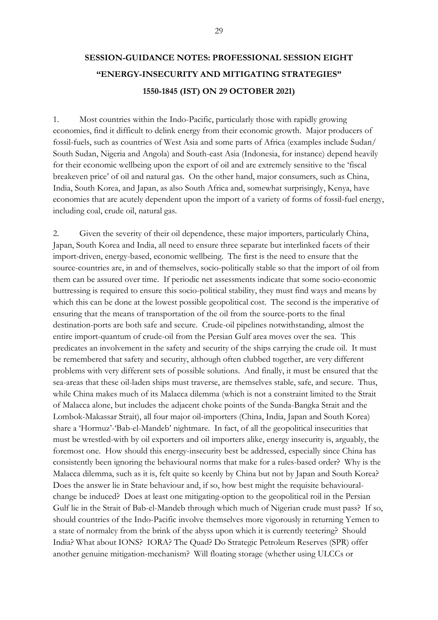### **SESSION-GUIDANCE NOTES: PROFESSIONAL SESSION EIGHT "ENERGY-INSECURITY AND MITIGATING STRATEGIES" 1550-1845 (IST) ON 29 OCTOBER 2021)**

1. Most countries within the Indo-Pacific, particularly those with rapidly growing economies, find it difficult to delink energy from their economic growth. Major producers of fossil-fuels, such as countries of West Asia and some parts of Africa (examples include Sudan/ South Sudan, Nigeria and Angola) and South-east Asia (Indonesia, for instance) depend heavily for their economic wellbeing upon the export of oil and are extremely sensitive to the 'fiscal breakeven price' of oil and natural gas. On the other hand, major consumers, such as China, India, South Korea, and Japan, as also South Africa and, somewhat surprisingly, Kenya, have economies that are acutely dependent upon the import of a variety of forms of fossil-fuel energy, including coal, crude oil, natural gas.

2. Given the severity of their oil dependence, these major importers, particularly China, Japan, South Korea and India, all need to ensure three separate but interlinked facets of their import-driven, energy-based, economic wellbeing. The first is the need to ensure that the source-countries are, in and of themselves, socio-politically stable so that the import of oil from them can be assured over time. If periodic net assessments indicate that some socio-economic buttressing is required to ensure this socio-political stability, they must find ways and means by which this can be done at the lowest possible geopolitical cost. The second is the imperative of ensuring that the means of transportation of the oil from the source-ports to the final destination-ports are both safe and secure. Crude-oil pipelines notwithstanding, almost the entire import-quantum of crude-oil from the Persian Gulf area moves over the sea. This predicates an involvement in the safety and security of the ships carrying the crude oil. It must be remembered that safety and security, although often clubbed together, are very different problems with very different sets of possible solutions. And finally, it must be ensured that the sea-areas that these oil-laden ships must traverse, are themselves stable, safe, and secure. Thus, while China makes much of its Malacca dilemma (which is not a constraint limited to the Strait of Malacca alone, but includes the adjacent choke points of the Sunda-Bangka Strait and the Lombok-Makassar Strait), all four major oil-importers (China, India, Japan and South Korea) share a 'Hormuz'-'Bab-el-Mandeb' nightmare. In fact, of all the geopolitical insecurities that must be wrestled-with by oil exporters and oil importers alike, energy insecurity is, arguably, the foremost one. How should this energy-insecurity best be addressed, especially since China has consistently been ignoring the behavioural norms that make for a rules-based order? Why is the Malacca dilemma, such as it is, felt quite so keenly by China but not by Japan and South Korea? Does the answer lie in State behaviour and, if so, how best might the requisite behaviouralchange be induced? Does at least one mitigating-option to the geopolitical roil in the Persian Gulf lie in the Strait of Bab-el-Mandeb through which much of Nigerian crude must pass? If so, should countries of the Indo-Pacific involve themselves more vigorously in returning Yemen to a state of normalcy from the brink of the abyss upon which it is currently teetering? Should India? What about IONS? IORA? The Quad? Do Strategic Petroleum Reserves (SPR) offer another genuine mitigation-mechanism? Will floating storage (whether using ULCCs or